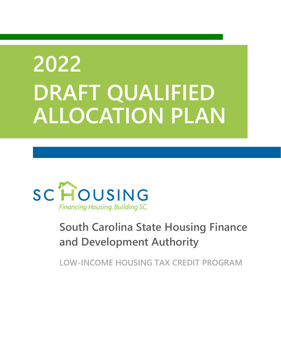# <span id="page-0-1"></span><span id="page-0-0"></span>**2022 DRAFT QUALIFIED ALLOCATION PLAN**



# **South Carolina State Housing Finance and Development Authority**

**LOW-INCOME HOUSING TAX CREDIT PROGRAM**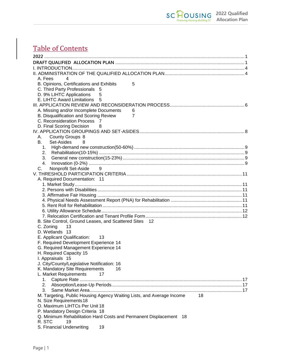# Table of Contents

| A. Fees<br>4                                                                |  |
|-----------------------------------------------------------------------------|--|
| B. Opinions, Certifications and Exhibits<br>5                               |  |
| C. Third Party Professionals 5                                              |  |
| D. 9% LIHTC Applications<br>5                                               |  |
| E. LIHTC Award Limitations<br>5                                             |  |
|                                                                             |  |
| A. Missing and/or Incomplete Documents<br>6                                 |  |
| $\overline{7}$<br>B. Disqualification and Scoring Review                    |  |
| C. Reconsideration Process<br>- 7                                           |  |
| D. Final Scoring Decision<br>8                                              |  |
|                                                                             |  |
| County Groups 8<br>А.                                                       |  |
| В.<br>Set-Asides<br>8                                                       |  |
|                                                                             |  |
| 2.                                                                          |  |
| 3.                                                                          |  |
| 4.                                                                          |  |
| C.<br>Nonprofit Set-Aside<br>9                                              |  |
|                                                                             |  |
| A. Required Documentation: 11                                               |  |
|                                                                             |  |
|                                                                             |  |
|                                                                             |  |
|                                                                             |  |
|                                                                             |  |
|                                                                             |  |
|                                                                             |  |
| B. Site Control, Ground Leases, and Scattered Sites 12                      |  |
| C. Zoning<br>13                                                             |  |
| D. Wetlands 13                                                              |  |
| E. Applicant Qualification:<br>13                                           |  |
| F. Required Development Experience 14                                       |  |
| G. Required Management Experience 14                                        |  |
| H. Required Capacity 15                                                     |  |
| I. Appraisals 15                                                            |  |
| J. City/County/Legislative Notification: 16                                 |  |
| K. Mandatory Site Requirements<br>16                                        |  |
| L. Market Requirements<br>17                                                |  |
| 1.                                                                          |  |
| 2.                                                                          |  |
| 3.                                                                          |  |
| M. Targeting, Public Housing Agency Waiting Lists, and Average Income<br>18 |  |
| N. Size Requirements 18                                                     |  |
| O. Maximum LIHTCs Per Unit 18                                               |  |
| P. Mandatory Design Criteria 18                                             |  |
| Q. Minimum Rehabilitation Hard Costs and Permanent Displacement 18          |  |
| R. STC<br>19                                                                |  |
| S. Financial Underwriting<br>19                                             |  |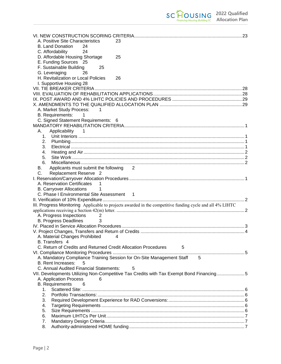| A. Positive Site Characteristics<br>23                                                                    |  |
|-----------------------------------------------------------------------------------------------------------|--|
| <b>B. Land Donation</b><br>24                                                                             |  |
| 24<br>C. Affordability                                                                                    |  |
| D. Affordable Housing Shortage<br>25                                                                      |  |
| E. Funding Sources 25                                                                                     |  |
| F. Sustainable Building<br>25                                                                             |  |
| G. Leveraging<br>26                                                                                       |  |
| H. Revitalization or Local Policies<br>26                                                                 |  |
| I. Supportive Housing 28                                                                                  |  |
|                                                                                                           |  |
|                                                                                                           |  |
|                                                                                                           |  |
|                                                                                                           |  |
| A. Market Study Process:<br>-1                                                                            |  |
| B. Requirements:<br>-1                                                                                    |  |
| C. Signed Statement Requirements: 6                                                                       |  |
| Applicability<br>$\blacksquare$ 1<br>A. .                                                                 |  |
|                                                                                                           |  |
| 2.                                                                                                        |  |
| 3.                                                                                                        |  |
| 4.                                                                                                        |  |
| 5.                                                                                                        |  |
| 6.                                                                                                        |  |
| Applicants must submit the following 2<br>В.                                                              |  |
| C.<br>Replacement Reserve 2                                                                               |  |
|                                                                                                           |  |
| A. Reservation Certificates<br>1                                                                          |  |
| <b>B. Carryover Allocations</b><br>1                                                                      |  |
| C. Phase I Environmental Site Assessment 1                                                                |  |
|                                                                                                           |  |
| III. Progress Monitoring Applicable to projects awarded in the competitive funding cycle and all 4% LIHTC |  |
|                                                                                                           |  |
| A. Progress Inspections<br>2<br><b>B. Progress Deadlines</b><br>3                                         |  |
|                                                                                                           |  |
|                                                                                                           |  |
| A. Material Changes Prohibited $\hphantom{1}4$                                                            |  |
| B. Transfers 4                                                                                            |  |
| C. Return of Credits and Returned Credit Allocation Procedures<br>5                                       |  |
|                                                                                                           |  |
| A. Mandatory Compliance Training Session for On-Site Management Staff 5                                   |  |
| B. Rent Increases:<br>5                                                                                   |  |
| C. Annual Audited Financial Statements:<br>5                                                              |  |
| VII. Developments Utilizing Non-Competitive Tax Credits with Tax Exempt Bond Financing5                   |  |
| A. Application Process<br>6                                                                               |  |
| <b>B.</b> Requirements<br>6                                                                               |  |
| 1.                                                                                                        |  |
| 2.                                                                                                        |  |
| 3.<br>4.                                                                                                  |  |
| 5.                                                                                                        |  |
| 6.                                                                                                        |  |
| 7.                                                                                                        |  |
| 8.                                                                                                        |  |
|                                                                                                           |  |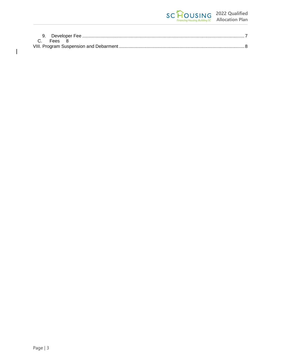| C Fees 8 |  |
|----------|--|
|          |  |

 $\begin{array}{c} \hline \end{array}$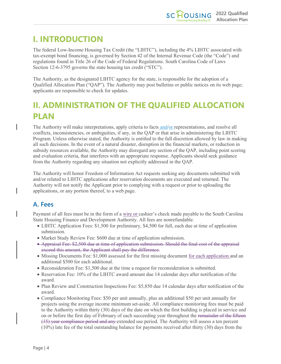# <span id="page-4-0"></span>**I. INTRODUCTION**

The federal Low-Income Housing Tax Credit (the "LIHTC"), including the 4% LIHTC associated with tax-exempt bond financing, is governed by Section 42 of the Internal Revenue Code (the "Code") and regulations found in Title 26 of the Code of Federal Regulations. South Carolina Code of Laws Section 12-6-3795 governs the state housing tax credit ("STC").

The Authority, as the designated LIHTC agency for the state, is responsible for the adoption of a Qualified Allocation Plan ("QAP"). The Authority may post bulletins or public notices on its web page; applicants are responsible to check for updates.

# <span id="page-4-1"></span>**II. ADMINISTRATION OF THE QUALIFIED ALLOCATION PLAN**

The Authority will make interpretations, apply criteria to facts and/or representations, and resolve all conflicts, inconsistencies, or ambiguities, if any, in the QAP or that arise in administering the LIHTC Program. Unless otherwise stated, the Authority is entitled to the full discretion allowed by law in making all such decisions. In the event of a natural disaster, disruption in the financial markets, or reduction in subsidy resources available, the Authority may disregard any section of the QAP, including point scoring and evaluation criteria, that interferes with an appropriate response. Applicants should seek guidance from the Authority regarding any situation not explicitly addressed in the QAP.

The Authority will honor Freedom of Information Act requests seeking any documents submitted with and/or related to LIHTC applications after reservation documents are executed and returned. The Authority will not notify the Applicant prior to complying with a request or prior to uploading the applications, or any portion thereof, to a web page.

### <span id="page-4-2"></span>**A. Fees**

Payment of all fees must be in the form of a wire or cashier's check made payable to the South Carolina State Housing Finance and Development Authority. All fees are nonrefundable.

- LIHTC Application Fees: \$1,500 for preliminary, \$4,500 for full, each due at time of application submission.
- Market Study Review Fee: \$600 due at time of application submission.
- Appraisal Fee: \$2,500 due at time of application submission. Should the final cost of the appraisal exceed this amount, the Applicant shall pay the difference.
- Missing Documents Fee: \$1,000 assessed for the first missing document for each application and an additional \$500 for each additional.
- Reconsideration Fee: \$1,500 due at the time a request for reconsideration is submitted.
- Reservation Fee: 10% of the LIHTC award amount due 14 calendar days after notification of the award.
- Plan Review and Construction Inspections Fee: \$5,850 due 14 calendar days after notification of the award.
- Compliance Monitoring Fees: \$50 per unit annually, plus an additional \$50 per unit annually for projects using the average income minimum set-aside. All compliance monitoring fees must be paid to the Authority within thirty (30) days of the date on which the first building is placed in service and on or before the first day of February of each succeeding year throughout the remainder of the fifteen (15) year compliance period and any extended use period. The Authority will assess a ten percent (10%) late fee of the total outstanding balance for payments received after thirty (30) days from the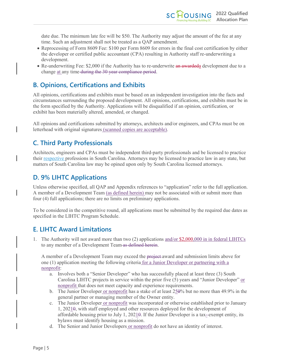date due. The minimum late fee will be \$50. The Authority may adjust the amount of the fee at any time. Such an adjustment shall not be treated as a QAP amendment.

- Reprocessing of Form 8609 Fee: \$100 per Form 8609 for errors in the final cost certification by either the developer or certified public accountant (CPA) resulting in Authority staff re-underwriting a development.
- Re-underwriting Fee: \$2,000 if the Authority has to re-underwrite an awarded a development due to a change at any time-during the 30 year compliance period.

### <span id="page-5-0"></span>**B. Opinions, Certifications and Exhibits**

All opinions, certifications and exhibits must be based on an independent investigation into the facts and circumstances surrounding the proposed development. All opinions, certifications, and exhibits must be in the form specified by the Authority. Applications will be disqualified if an opinion, certification, or exhibit has been materially altered, amended, or changed.

All opinions and certifications submitted by attorneys, architects and/or engineers, and CPAs must be on letterhead with original signatures (scanned copies are acceptable).

### <span id="page-5-1"></span>**C. Third Party Professionals**

Architects, engineers and CPAs must be independent third-party professionals and be licensed to practice their respective professions in South Carolina. Attorneys may be licensed to practice law in any state, but matters of South Carolina law may be opined upon only by South Carolina licensed attorneys.

### <span id="page-5-2"></span>**D. 9% LIHTC Applications**

Unless otherwise specified, all QAP and Appendix references to "application" refer to the full application. A member of a Development Team (as defined herein) may not be associated with or submit more than four (4) full applications; there are no limits on preliminary applications.

To be considered in the competitive round, all applications must be submitted by the required due dates as specified in the LIHTC Program Schedule.

### <span id="page-5-3"></span>**E. LIHTC Award Limitations**

1. The Authority will not award more than two (2) applications and/or \$2,000,000 in in federal LIHTCs to any member of a Development Team as defined herein.

A member of a Development Team may exceed the project-award and submission limits above for one (1) application meeting the following criteria for a Junior Developer or partnering with a nonprofit:

- a. Involves both a "Senior Developer" who has successfully placed at least three (3) South Carolina LIHTC projects in service within the prior five  $(5)$  years and "Junior Developer" or nonprofit that does not meet capacity and experience requirements.
- b. The Junior Developer or nonprofit has a stake of at least  $250\%$  but no more than 49.9% in the general partner or managing member of the Owner entity.
- c. The Junior Developer or nonprofit was incorporated or otherwise established prior to January 1, 20210, with staff employed and other resources deployed for the development of affordable housing prior to July 1, 2021 $\theta$ . If the Junior Developer is a tax-exempt entity, its bylaws must identify housing as a mission.
- d. The Senior and Junior Developers or nonprofit do not have an identity of interest.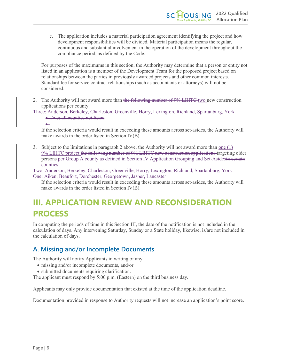e. The application includes a material participation agreement identifying the project and how development responsibilities will be divided. Material participation means the regular, continuous and substantial involvement in the operation of the development throughout the compliance period, as defined by the Code.

For purposes of the maximums in this section, the Authority may determine that a person or entity not listed in an application is a member of the Development Team for the proposed project based on relationships between the parties in previously awarded projects and other common interests. Standard fee for service contract relationships (such as accountants or attorneys) will not be considered.

2. The Authority will not award more than the following number of 9% LIHTC-two new construction applications per county.

Three: Anderson, Berkeley, Charleston, Greenville, Horry, Lexington, Richland, Spartanburg, York • Two: all counties not listed

If the selection criteria would result in exceeding these amounts across set-asides, the Authority will make awards in the order listed in Section IV(B).

3. Subject to the limitations in paragraph 2 above, the Authority will not award more than one (1) 9% LIHTC project the following number of 9% LIHTC new construction applications targeting older persons per Group A county as defined in Section IV Application Grouping and Set-Asidesin certain counties.

Two: Anderson, Berkeley, Charleston, Greenville, Horry, Lexington, Richland, Spartanburg, York One: Aiken, Beaufort, Dorchester, Georgetown, Jasper, Lancaster

If the selection criteria would result in exceeding these amounts across set-asides, the Authority will make awards in the order listed in Section IV(B).

# <span id="page-6-0"></span>**III. APPLICATION REVIEW AND RECONSIDERATION PROCESS**

In computing the periods of time in this Section III, the date of the notification is not included in the calculation of days. Any intervening Saturday, Sunday or a State holiday, likewise, is/are not included in the calculation of days.

### <span id="page-6-1"></span>**A. Missing and/or Incomplete Documents**

The Authority will notify Applicants in writing of any

- missing and/or incomplete documents, and/or
- submitted documents requiring clarification.

The applicant must respond by 5:00 p.m. (Eastern) on the third business day.

Applicants may only provide documentation that existed at the time of the application deadline.

Documentation provided in response to Authority requests will not increase an application's point score.

•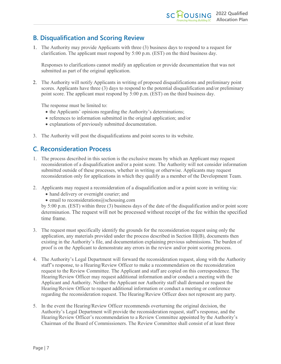### <span id="page-7-0"></span>**B. Disqualification and Scoring Review**

1. The Authority may provide Applicants with three (3) business days to respond to a request for clarification. The applicant must respond by 5:00 p.m. (EST) on the third business day.

Responses to clarifications cannot modify an application or provide documentation that was not submitted as part of the original application.

2. The Authority will notify Applicants in writing of proposed disqualifications and preliminary point scores. Applicants have three (3) days to respond to the potential disqualification and/or preliminary point score. The applicant must respond by 5:00 p.m. (EST) on the third business day.

The response must be limited to:

- the Applicants' opinions regarding the Authority's determinations;
- references to information submitted in the original application; and/or
- explanations of previously submitted documentation.
- 3. The Authority will post the disqualifications and point scores to its website.

### <span id="page-7-1"></span>**C. Reconsideration Process**

- 1. The process described in this section is the exclusive means by which an Applicant may request reconsideration of a disqualification and/or a point score. The Authority will not consider information submitted outside of these processes, whether in writing or otherwise. Applicants may request reconsideration only for applications in which they qualify as a member of the Development Team.
- 2. Applicants may request a reconsideration of a disqualification and/or a point score in writing via:
	- hand delivery or overnight courier; and
	- $\bullet$  email to reconsiderations @schousing.com

by 5:00 p.m. (EST) within three (3) business days of the date of the disqualification and/or point score determination. The request will not be processed without receipt of the fee within the specified time frame.

- 3. The request must specifically identify the grounds for the reconsideration request using only the application, any materials provided under the process described in Section III(B), documents then existing in the Authority's file, and documentation explaining previous submissions. The burden of proof is on the Applicant to demonstrate any errors in the review and/or point scoring process.
- 4. The Authority's Legal Department will forward the reconsideration request, along with the Authority staff's response, to a Hearing/Review Officer to make a recommendation on the reconsideration request to the Review Committee. The Applicant and staff are copied on this correspondence. The Hearing/Review Officer may request additional information and/or conduct a meeting with the Applicant and Authority. Neither the Applicant nor Authority staff shall demand or request the Hearing/Review Officer to request additional information or conduct a meeting or conference regarding the reconsideration request. The Hearing/Review Officer does not represent any party.
- 5. In the event the Hearing/Review Officer recommends overturning the original decision, the Authority's Legal Department will provide the reconsideration request, staff's response, and the Hearing/Review Officer's recommendation to a Review Committee appointed by the Authority's Chairman of the Board of Commissioners. The Review Committee shall consist of at least three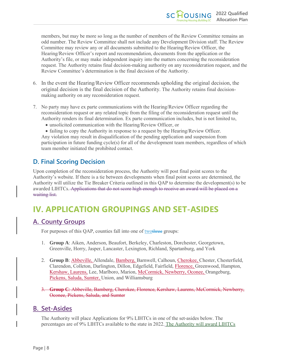members, but may be more so long as the number of members of the Review Committee remains an odd number. The Review Committee shall not include any Development Division staff. The Review Committee may review any or all documents submitted to the Hearing/Review Officer, the Hearing/Review Officer's report and recommendation, documents from the application or the Authority's file, or may make independent inquiry into the matters concerning the reconsideration request. The Authority retains final decision-making authority on any reconsideration request, and the Review Committee's determination is the final decision of the Authority.

- 6. In the event the Hearing/Review Officer recommends upholding the original decision, the original decision is the final decision of the Authority. The Authority retains final decisionmaking authority on any reconsideration request.
- 7. No party may have ex parte communications with the Hearing/Review Officer regarding the reconsideration request or any related topic from the filing of the reconsideration request until the Authority renders its final determination. Ex parte communication includes, but is not limited to,
	- unsolicited communication with the Hearing/Review Officer, or

• failing to copy the Authority in response to a request by the Hearing/Review Officer. Any violation may result in disqualification of the pending application and suspension from participation in future funding cycle(s) for all of the development team members, regardless of which team member initiated the prohibited contact.

### <span id="page-8-0"></span>**D. Final Scoring Decision**

Upon completion of the reconsideration process, the Authority will post final point scores to the Authority's website. If there is a tie between developments when final point scores are determined, the Authority will utilize the Tie Breaker Criteria outlined in this QAP to determine the development(s) to be awarded LIHTCs. Applications that do not score high enough to receive an award will be placed on a waiting list.

# <span id="page-8-1"></span>**IV. APPLICATION GROUPINGS AND SET-ASIDES**

### <span id="page-8-2"></span>**A. County Groups**

For purposes of this QAP, counties fall into one of two three groups:

- 1. **Group A**: Aiken, Anderson, Beaufort, Berkeley, Charleston, Dorchester, Georgetown, Greenville, Horry, Jasper, Lancaster, Lexington, Richland, Spartanburg, and York
- 2. **Group B**: Abbeville, Allendale, Bamberg, Barnwell, Calhoun, Cherokee, Chester, Chesterfield, Clarendon, Colleton, Darlington, Dillon, Edgefield, Fairfield, Florence, Greenwood, Hampton, Kershaw, Laurens, Lee, Marlboro, Marion, McCormick, Newberry, Oconee, Orangeburg, Pickens, Saluda, Sumter, Union, and Williamsburg
- 3. **Group C**: Abbeville, Bamberg, Cherokee, Florence, Kershaw, Laurens, McCormick, Newberry, Oconee, Pickens, Saluda, and Sumter

#### <span id="page-8-3"></span>**B. Set-Asides**

The Authority will place Applications for 9% LIHTCs in one of the set-asides below. The percentages are of 9% LIHTCs available to the state in 2022. The Authority will award LIHTCs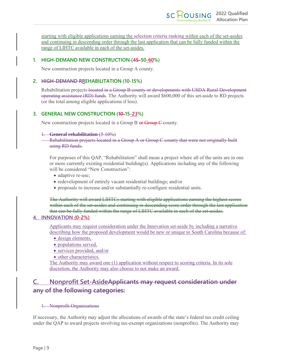starting with eligible applications earning the selection criteria ranking within each of the set-asides and continuing in descending order through the last application that can be fully funded within the range of LIHTC available in each of the set-asides.

#### <span id="page-9-0"></span>**1. HIGH-DEMAND NEW CONSTRUCTION (45-50-60%)**

New construction projects located in a Group A county.

#### <span id="page-9-1"></span>**2. HIGH-DEMAND RREHABILITATION (10-15%)**

Rehabilitation projects located in a Group B county or developments with USDA Rural Development operating assistance (RD) funds. The Authority will award \$600,000 of this set-aside to RD projects (or the total among eligible applications if less).

#### <span id="page-9-2"></span>**3. GENERAL NEW CONSTRUCTION (10-15-23%)**

New construction projects located in a Group B or Group C county.

#### 1. **General rehabilitation** (5-10%)

Rehabilitation projects located in a Group A or Group C county that were not originally built using RD funds.

For purposes of this QAP, "Rehabilitation" shall mean a project where all of the units are in one or more currently existing residential building(s). Applications including any of the following will be considered "New Construction":

- adaptive re-use;
- redevelopment of entirely vacant residential buildings; and/or
- proposals to increase and/or substantially re-configure residential units.

The Authority will award LIHTCs starting with eligible applications earning the highest scores within each of the set-asides and continuing in descending score order through the last application that can be fully funded within the range of LIHTC available in each of the set-asides.

#### <span id="page-9-3"></span>**4. INNOVATION (0-2%)**

Applicants may request consideration under the Innovation set-aside by including a narrative describing how the proposed development would be new or unique to South Carolina because of:

- design elements,
- populations served,
- services provided, and/or
- other characteristics.

The Authority may award one (1) application without respect to scoring criteria. In its sole discretion, the Authority may also choose to not make an award.

### <span id="page-9-4"></span>**C. Nonprofit Set-AsideApplicants may request consideration under any of the following categories:**

#### 1. Nonprofit Organizations

If necessary, the Authority may adjust the allocations of awards of the state's federal tax credit ceiling under the QAP to award projects involving tax-exempt organizations (nonprofits). The Authority may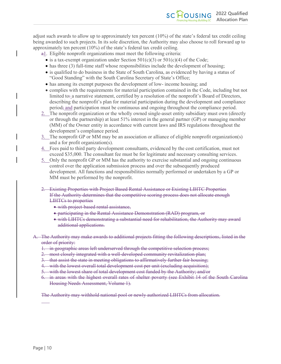adjust such awards to allow up to approximately ten percent (10%) of the state's federal tax credit ceiling being awarded to such projects. In its sole discretion, the Authority may also choose to roll forward up to approximately ten percent (10%) of the state's federal tax credit ceiling.

- $a_1$ . Eligible nonprofit organizations must meet the following criteria:
	- is a tax-exempt organization under Section  $501(c)(3)$  or  $501(c)(4)$  of the Code;
	- has three (3) full-time staff whose responsibilities include the development of housing;
	- is qualified to do business in the State of South Carolina, as evidenced by having a status of "Good Standing" with the South Carolina Secretary of State's Office;
	- has among its exempt purposes the development of low- income housing; and
	- complies with the requirements for material participation contained in the Code, including but not limited to: a narrative statement, certified by a resolution of the nonprofit's Board of Directors, describing the nonprofit's plan for material participation during the development and compliance period; and participation must be continuous and ongoing throughout the compliance period.
- 2. The nonprofit organization or the wholly owned single-asset entity subsidiary must own (directly or through the partnership) at least 51% interest in the general partner (GP) or managing member (MM) of the Owner entity in accordance with current laws and IRS regulations throughout the development's compliance period.
- 3. The nonprofit GP or MM may be an association or alliance of eligible nonprofit organization(s) and a for profit organization(s).
- 4. Fees paid to third party development consultants, evidenced by the cost certification, must not exceed \$35,000. The consultant fee must be for legitimate and necessary consulting services.
- 5. Only the nonprofit GP or MM has the authority to exercise substantial and ongoing continuous control over the application submission process and over the subsequently produced development. All functions and responsibilities normally performed or undertaken by a GP or MM must be performed by the nonprofit.
- 2. Existing Properties with Project Based Rental Assistance or Existing LIHTC Properties If the Authority determines that the competitive scoring process does not allocate enough LIHTCs to properties
	- with project-based rental assistance,
	- participating in the Rental Assistance Demonstration (RAD) program, or
	- with LIHTCs demonstrating a substantial need for rehabilitation, the Authority may award additional applications.
- A. The Authority may make awards to additional projects fitting the following descriptions, listed in the order of priority:
	- 1. in geographic areas left underserved through the competitive selection process;
	- 2. most closely integrated with a well-developed community revitalization plan;
	- 3. that assist the state in meeting obligations to affirmatively further fair housing;
	- 4. with the lowest overall total development cost per unit (excluding acquisition);
	- 5. with the lowest share of total development cost funded by the Authority; and/or
	- 6. in areas with the highest overall rates of shelter poverty (see Exhibit 14 of the South Carolina Housing Needs Assessment, Volume 1).

The Authority may withhold national pool or newly authorized LIHTCs from allocation.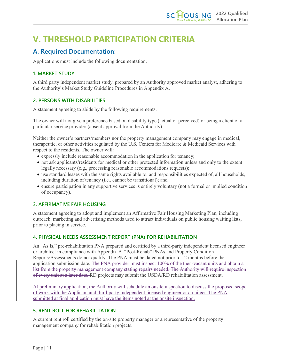# <span id="page-11-0"></span>**V. THRESHOLD PARTICIPATION CRITERIA**

### <span id="page-11-1"></span>**A. Required Documentation:**

Applications must include the following documentation.

#### <span id="page-11-2"></span>**1. MARKET STUDY**

A third party independent market study, prepared by an Authority approved market analyst, adhering to the Authority's Market Study Guideline Procedures in Appendix A.

#### <span id="page-11-3"></span>**2. PERSONS WITH DISABILITIES**

A statement agreeing to abide by the following requirements.

The owner will not give a preference based on disability type (actual or perceived) or being a client of a particular service provider (absent approval from the Authority).

Neither the owner's partners/members nor the property management company may engage in medical, therapeutic, or other activities regulated by the U.S. Centers for Medicare & Medicaid Services with respect to the residents. The owner will:

- expressly include reasonable accommodation in the application for tenancy;
- not ask applicants/residents for medical or other protected information unless and only to the extent legally necessary (e.g., processing reasonable accommodations requests);
- use standard leases with the same rights available to, and responsibilities expected of, all households, including duration of tenancy (i.e., cannot be transitional); and
- ensure participation in any supportive services is entirely voluntary (not a formal or implied condition of occupancy).

#### <span id="page-11-4"></span>**3. AFFIRMATIVE FAIR HOUSING**

A statement agreeing to adopt and implement an Affirmative Fair Housing Marketing Plan, including outreach, marketing and advertising methods used to attract individuals on public housing waiting lists, prior to placing in service.

#### <span id="page-11-5"></span>**4. PHYSICAL NEEDS ASSESSMENT REPORT (PNA) FOR REHABILITATION**

An "As Is," pre-rehabilitation PNA prepared and certified by a third-party independent licensed engineer or architect in compliance with Appendix B. "Post-Rehab" PNAs and Property Condition Reports/Assessments do not qualify. The PNA must be dated not prior to 12 months before the application submission date. The PNA provider must inspect 100% of the then-vacant units and obtain a list from the property management company stating repairs needed. The Authority will require inspection of every unit at a later date. RD projects may submit the USDA/RD rehabilitation assessment.

At preliminary application, the Authority will schedule an onsite inspection to discuss the proposed scope of work with the Applicant and third-party independent licensed engineer or architect. The PNA submitted at final application must have the items noted at the onsite inspection.

#### <span id="page-11-6"></span>**5. RENT ROLL FOR REHABILITATION**

A current rent roll certified by the on-site property manager or a representative of the property management company for rehabilitation projects.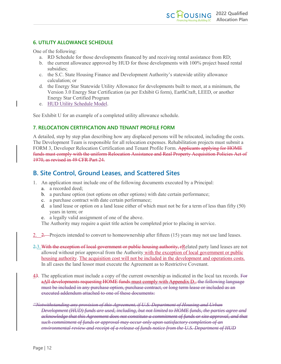#### <span id="page-12-0"></span>**6. UTILITY ALLOWANCE SCHEDULE**

One of the following:

- a. RD Schedule for those developments financed by and receiving rental assistance from RD;
- b. the current allowance approved by HUD for those developments with 100% project based rental subsidies;
- c. the S.C. State Housing Finance and Development Authority's statewide utility allowance calculation; or
- d. the Energy Star Statewide Utility Allowance for developments built to meet, at a minimum, the Version 3.0 Energy Star Certification (as per Exhibit G form), EarthCraft, LEED, or another Energy Star Certified Program
- e. HUD Utility Schedule Model.

See Exhibit U for an example of a completed utility allowance schedule.

#### <span id="page-12-1"></span>**7. RELOCATION CERTIFICATION AND TENANT PROFILE FORM**

A detailed, step by step plan describing how any displaced persons will be relocated, including the costs. The Development Team is responsible for all relocation expenses. Rehabilitation projects must submit a FORM 3, Developer Relocation Certification and Tenant Profile Form. Applicants applying for HOME funds must comply with the uniform Relocation Assistance and Real Property Acquisition Policies Act of 1970, as revised in 49 CFR Part 24.

### <span id="page-12-2"></span>**B. Site Control, Ground Leases, and Scattered Sites**

- 1. An application must include one of the following documents executed by a Principal:
	- a. a recorded deed;
	- b. a purchase option (not options on other options) with date certain performance;
	- c. a purchase contract with date certain performance;
	- d. a land lease or option on a land lease either of which must not be for a term of less than fifty (50) years in term; or
	- e. a legally valid assignment of one of the above.
	- The Authority may require a quiet title action be completed prior to placing in service.
- 2. 2. Projects intended to convert to homeownership after fifteen (15) years may not use land leases.
- 2.3. With the exception of local government or public housing authority, rRelated party land leases are not allowed without prior approval from the Authority with the exception of local government or public housing authority. The acquisition cost will not be included in the development and operations costs. In all cases the land lessor must execute the Agreement as to Restrictive Covenant.
- 43. The application must include a copy of the current ownership as indicated in the local tax records. For aAll developments requesting HOME funds must comply with Appendix D., the following language must be included in any purchase option, purchase contract, or long term lease or included as an executed addendum attached to one of these documents:
- *"Notwithstanding any provision of this Agreement, if U.S. Department of Housing and Urban Development (HUD) funds are used, including, but not limited to HOME funds, the parties agree and acknowledge that this Agreement does not constitute a commitment of funds or site approval, and that such commitment of funds or approval may occur only upon satisfactory completion of an environmental review and receipt of a release of funds notice from the U.S. Department of HUD*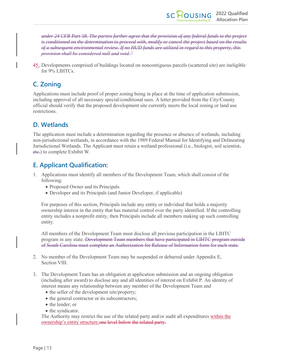*under 24 CFR Part 58. The parties further agree that the provision of any federal funds to the project is conditioned on the determination to proceed with, modify or cancel the project based on the results of a subsequent environmental review. If no HUD funds are utilized in regard to this property, this provision shall be considered null and void."*

45..Developments comprised of buildings located on noncontiguous parcels (scattered site) are ineligible for 9% LIHTCs.

### <span id="page-13-0"></span>**C. Zoning**

Applications must include proof of proper zoning being in place at the time of application submission, including approval of all necessary special/conditional uses. A letter provided from the City/County official should verify that the proposed development site currently meets the local zoning or land use restrictions.

### <span id="page-13-1"></span>**D. Wetlands**

The application must include a determination regarding the presence or absence of wetlands, including non-jurisdictional wetlands, in accordance with the 1989 Federal Manual for Identifying and Delineating Jurisdictional Wetlands. The Applicant must retain a wetland professional (i.e., biologist, soil scientist, etc.) to complete Exhibit W.

### <span id="page-13-2"></span>**E. Applicant Qualification:**

- 1. Applications must identify all members of the Development Team, which shall consist of the following:
	- Proposed Owner and its Principals
	- Developer and its Principals (and Junior Developer, if applicable)

For purposes of this section, Principals include any entity or individual that holds a majority ownership interest in the entity that has material control over the party identified. If the controlling entity includes a nonprofit entity, then Principals include all members making up such controlling entity.

All members of the Development Team must disclose all previous participation in the LIHTC program in any state. Development Team members that have participated in LIHTC program outside of South Carolina must complete an Authorization for Release of Information form for each state.

- 2. No member of the Development Team may be suspended or debarred under Appendix E, Section VIII.
- 3. The Development Team has an obligation at application submission and an ongoing obligation (including after award) to disclose any and all identities of interest on Exhibit P. An identity of interest means any relationship between any member of the Development Team and
	- the seller of the development site/property;
	- the general contractor or its subcontractors;
	- the lender; or
	- the syndicator.

The Authority may restrict the use of the related party and/or audit all expenditures within the ownership's entity structure, one level below the related party.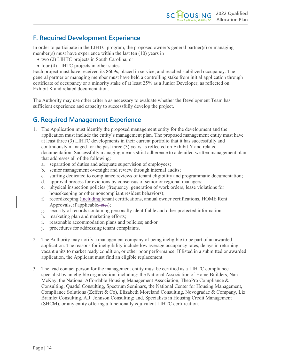### <span id="page-14-0"></span>**F. Required Development Experience**

In order to participate in the LIHTC program, the proposed owner's general partner(s) or managing member(s) must have experience within the last ten (10) years in

- two (2) LIHTC projects in South Carolina; or
- four (4) LIHTC projects in other states.

Each project must have received its 8609s, placed in service, and reached stabilized occupancy. The general partner or managing member must have held a controlling stake from initial application through certificate of occupancy or a minority stake of at least 25% as a Junior Developer, as reflected on Exhibit K and related documentation.

The Authority may use other criteria as necessary to evaluate whether the Development Team has sufficient experience and capacity to successfully develop the project.

### <span id="page-14-1"></span>**G. Required Management Experience**

- 1. The Application must identify the proposed management entity for the development and the application must include the entity's management plan. The proposed management entity must have at least three (3) LIHTC developments in their current portfolio that it has successfully and continuously managed for the past three (3) years as reflected on Exhibit Y and related documentation. Successfully managing means strict adherence to a detailed written management plan that addresses all of the following:
	- a. separation of duties and adequate supervision of employees;
	- b. senior management oversight and review through internal audits;
	- c. staffing dedicated to compliance reviews of tenant eligibility and programmatic documentation;
	- d. approval process for evictions by consensus of senior or regional managers;
	- e. physical inspection policies (frequency, generation of work orders, lease violations for housekeeping or other noncompliant resident behaviors);
	- f. recordkeeping (including tenant certifications, annual owner certifications, HOME Rent Approvals, if applicable, etc.);
	- g. security of records containing personally identifiable and other protected information
	- h. marketing plan and marketing efforts;
	- i. reasonable accommodation plans and policies; and/or
	- j. procedures for addressing tenant complaints.
- 2. The Authority may notify a management company of being ineligible to be part of an awarded application. The reasons for ineligibility include low average occupancy rates, delays in returning vacant units to market ready condition, or other poor performance. If listed in a submitted or awarded application, the Applicant must find an eligible replacement.
- 3. The lead contact person for the management entity must be certified as a LIHTC compliance specialist by an eligible organization, including: the National Association of Home Builders, Nan McKay, the National Affordable Housing Management Association, TheoPro Compliance & Consulting, Quadel Consulting, Spectrum Seminars, the National Center for Housing Management, Compliance Solutions (Zeffert & Co), Elizabeth Moreland Consulting, Novogradac & Company, Liz Bramlet Consulting, A.J. Johnson Consulting; and, Specialists in Housing Credit Management (SHCM), or any entity offering a functionally equivalent LIHTC certification.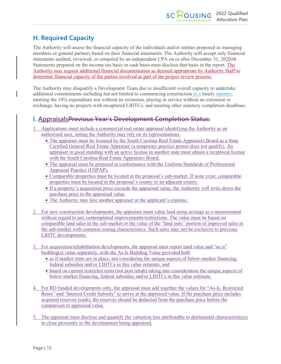### <span id="page-15-0"></span>**H. Required Capacity**

The Authority will assess the financial capacity of the individuals and/or entities proposed as managing members or general partners based on their financial statements. The Authority will accept only financial statements audited, reviewed, or compiled by an independent CPA on or after December 31, 202019. Statements prepared on the income tax basis or cash basis must disclose that basis in the report. The Authority may request additional financial documentation as deemed appropriate by Authority Staff to determine financial capacity of the parties involved as part of the project review process.

The Authority may disqualify a Development Team due to insufficient overall capacity to undertake additional commitments including but not limited to commencing construction in a timely manner, meeting the 10% expenditure test without an extension, placing in service without an extension or exchange, having no projects with recaptured LIHTCs, and meeting other statutory completion deadlines.

### <span id="page-15-1"></span>**I. AppraisalsPrevious Year's Development Completion Status:**

- 1. Applications must include a commercial real estate appraisal identifying the Authority as an authorized user, noting the Authority may rely on its representations.
	- The appraiser must be licensed by the South Carolina Real Estate Appraisers Board as a State Certified General Real Estate Appraiser (a temporary practice permit does not qualify). An appraiser in good standing with an active license in another state must obtain a reciprocal license with the South Carolina Real Estate Appraisers Board.
	- The appraisal must be prepared in conformance with the Uniform Standards of Professional Appraisal Practice (USPAP).
	- Comparable properties must be located in the proposal's sub-market. If none exist, comparable properties must be located in the proposal's county or an adjacent county.
	- If a property's acquisition price exceeds the appraised value, the Authority will write down the purchase price to the appraised value.
	- The Authority may hire another appraiser at the applicant's expense.
- 2. For new construction developments, the appraiser must value land using acreage as a measurement without regard to any contemplated improvements/restrictions. The value must be based on comparable land sales in the sub-market or the value of the "land only" portion of improved sales in the sub-market with common zoning characteristics. Such sales may not be exclusive to previous LIHTC developments.
- 3. For acquisition/rehabilitation developments, the appraisal must report land value and "as is" building(s) value separately, with the As-Is Building Value provided both
	- as if market rents are in place, not considering the unique aspects of below-market financing, federal subsidies and/or LIHTCs in this value estimate, and
	- based on current restricted rents (not post rehab) taking into consideration the unique aspects of below-market financing, federal subsidies and/or LIHTCs in this value estimate.
- 4. For RD funded developments only, the appraisal must add together the values for "As-Is, Restricted Rents" and "Interest Credit Subsidy" to arrive at the appraised value. If the purchase price includes acquired reserves (cash), the reserves should be deducted from the purchase price before the comparison to appraised value.
- 5. The appraisal must disclose and quantify the valuation loss attributable to detrimental characteristic(s) in close proximity to the development being appraised.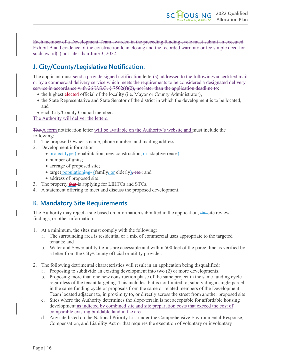Each member of a Development Team awarded in the preceding funding cycle must submit an executed Exhibit B and evidence of the construction loan closing and the recorded warranty or fee simple deed for such award(s) not later than June 3, 2022.

### <span id="page-16-0"></span>**J. City/County/Legislative Notification:**

The applicant must send a provide signed notification letter(s) addressed to the following via certified mail or by a commercial delivery service which meets the requirements to be considered a designated delivery service in accordance with 26 U.S.C.  $\S$  7502(f)(2), not later than the application deadline to:

- the highest elected official of the locality (i.e. Mayor or County Administrator),
- the State Representative and State Senator of the district in which the development is to be located, and
- each City/County Council member.

The Authority will deliver the letters.

The A form notification letter will be available on the Authority's website and must include the following:

- 1. The proposed Owner's name, phone number, and mailing address.
- 2. Development information
	- project type (rehabilitation, new construction, <u>or</u> adaptive reuse);
	- number of units;
	- acreage of proposed site;
	- target populationing (family, or elderly), etc.; and
	- address of proposed site.
- 3. The property that is applying for LIHTCs and STCs.
- 4. A statement offering to meet and discuss the proposed development.

### <span id="page-16-1"></span>**K. Mandatory Site Requirements**

The Authority may reject a site based on information submitted in the application, the site review findings, or other information.

- 1. At a minimum, the sites must comply with the following:
	- a. The surrounding area is residential or a mix of commercial uses appropriate to the targeted tenants; and
	- b. Water and Sewer utility tie-ins are accessible and within 500 feet of the parcel line as verified by a letter from the City/County official or utility provider.
- 2. The following detrimental characteristics will result in an application being disqualified:
	- a. Proposing to subdivide an existing development into two (2) or more developments.
	- b. Proposing more than one new construction phase of the same project in the same funding cycle regardless of the tenant targeting. This includes, but is not limited to, subdividing a single parcel in the same funding cycle or proposals from the same or related members of the Development Team located adjacent to, in proximity to, or directly across the street from another proposed site.
	- c. Sites where the Authority determines the slope/terrain is not acceptable for affordable housing development as indicted by combined site and site preparation costs that exceed the cost of comparable existing buildable land in the area.
	- d. Any site listed on the National Priority List under the Comprehensive Environmental Response, Compensation, and Liability Act or that requires the execution of voluntary or involuntary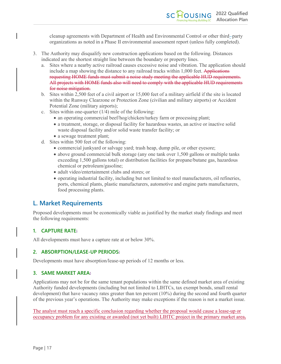cleanup agreements with Department of Health and Environmental Control or other third-party organizations as noted in a Phase II environmental assessment report (unless fully completed).

- 3. The Authority may disqualify new construction applications based on the following. Distances indicated are the shortest straight line between the boundary or property lines.
	- a. Sites where a nearby active railroad causes excessive noise and vibration. The application should include a map showing the distance to any railroad tracks within 1,000 feet. Applications requesting HOME funds must submit a noise study meeting the applicable HUD requirements. All projects with HOME funds also will need to comply with the applicable HUD requirements for noise mitigation.
	- b. Sites within 2,500 feet of a civil airport or 15,000 feet of a military airfield if the site is located within the Runway Clearzone or Protection Zone (civilian and military airports) or Accident Potential Zone (military airports);
	- c. Sites within one-quarter  $(1/4)$  mile of the following:
		- an operating commercial beef/hog/chicken/turkey farm or processing plant;
		- a treatment, storage, or disposal facility for hazardous wastes, an active or inactive solid waste disposal facility and/or solid waste transfer facility; or
		- a sewage treatment plant;
	- d. Sites within 500 feet of the following:
		- commercial junkyard or salvage yard; trash heap, dump pile, or other eyesore;
		- above ground commercial bulk storage (any one tank over 1,500 gallons or multiple tanks exceeding 1,500 gallons total) or distribution facilities for propane/butane gas, hazardous chemical or petroleum/gasoline;
		- adult video/entertainment clubs and stores; or
		- operating industrial facility, including but not limited to steel manufacturers, oil refineries, ports, chemical plants, plastic manufacturers, automotive and engine parts manufacturers, food processing plants.

### <span id="page-17-0"></span>**L. Market Requirements**

Proposed developments must be economically viable as justified by the market study findings and meet the following requirements:

#### <span id="page-17-1"></span>**1. CAPTURE RATE:**

All developments must have a capture rate at or below 30%.

#### <span id="page-17-2"></span>**2. ABSORPTION/LEASE-UP PERIODS:**

Developments must have absorption/lease-up periods of 12 months or less.

#### <span id="page-17-3"></span>**3. SAME MARKET AREA:**

Applications may not be for the same tenant populations within the same defined market area of existing Authority funded developments (including but not limited to LIHTCs, tax exempt bonds, small rental development) that have vacancy rates greater than ten percent (10%) during the second and fourth quarter of the previous year's operations. The Authority may make exceptions if the reason is not a market issue.

The analyst must reach a specific conclusion regarding whether the proposal would cause a lease-up or occupancy problem for any existing or awarded (not yet built) LIHTC project in the primary market area**.**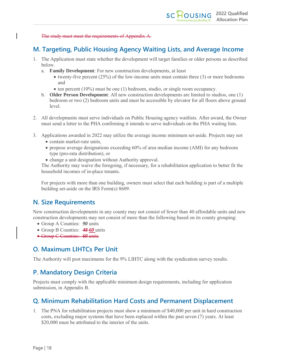The study must meet the requirements of Appendix A.

### <span id="page-18-0"></span>**M. Targeting, Public Housing Agency Waiting Lists, and Average Income**

- 1. The Application must state whether the development will target families or older persons as described below.
	- a. **Family Development**: For new construction developments, at least
		- twenty-five percent (25%) of the low-income units must contain three (3) or more bedrooms and
		- ten percent (10%) must be one (1) bedroom, studio, or single room occupancy.
	- b. **Older Person Development**: All new construction developments are limited to studios, one (1) bedroom or two (2) bedroom units and must be accessible by elevator for all floors above ground level.
- 2. All developments must serve individuals on Public Housing agency waitlists. After award, the Owner must send a letter to the PHA confirming it intends to serve individuals on the PHA waiting lists.
- 3. Applications awarded in 2022 may utilize the average income minimum set-aside. Projects may not
	- contain market-rate units,
	- propose average designations exceeding 60% of area median income (AMI) for any bedroom type (pro-rata distribution), or
	- change a unit designation without Authority approval.

The Authority may waive the foregoing, if necessary, for a rehabilitation application to better fit the household incomes of in-place tenants.

For projects with more than one building, owners must select that each building is part of a multiple building set-aside on the IRS Form(s) 8609.

### <span id="page-18-1"></span>**N. Size Requirements**

New construction developments in any county may not consist of fewer than 40 affordable units and new construction developments may not consist of more than the following based on its county grouping:

- Group A Counties: *90* units
- Group B Counties: *48 60* units
- Group C Counties: *60* units

### <span id="page-18-2"></span>**O. Maximum LIHTCs Per Unit**

The Authority will post maximums for the 9% LIHTC along with the syndication survey results.

### <span id="page-18-3"></span>**P. Mandatory Design Criteria**

Projects must comply with the applicable minimum design requirements, including for application submission, in Appendix B.

### <span id="page-18-4"></span>**Q. Minimum Rehabilitation Hard Costs and Permanent Displacement**

1. The PNA for rehabilitation projects must show a minimum of \$40,000 per unit in hard construction costs, excluding major systems that have been replaced within the past seven (7) years. At least \$20,000 must be attributed to the interior of the units.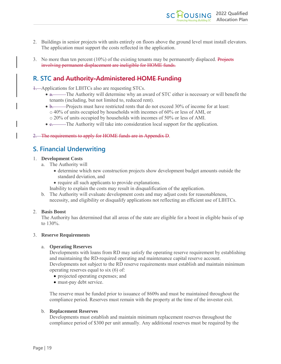- 2. Buildings in senior projects with units entirely on floors above the ground level must install elevators. The application must support the costs reflected in the application.
- 3. No more than ten percent  $(10\%)$  of the existing tenants may be permanently displaced. Projects involving permanent displacement are ineligible for HOME funds.

### <span id="page-19-0"></span>**R. STC and Authority-Administered HOME Funding**

1. Applications for LIHTCs also are requesting STCs.

- a. The Authority will determine why an award of STC either is necessary or will benefit the tenants (including, but not limited to, reduced rent).
- b. Projects must have restricted rents that do not exceed 30% of income for at least: o 40% of units occupied by households with incomes of 60% or less of AMI, or
	- o 20% of units occupied by households with incomes of 50% or less of AMI.
- e. The Authority will take into consideration local support for the application.

2. The requirements to apply for HOME funds are in Appendix D.

### <span id="page-19-1"></span>**S. Financial Underwriting**

#### 1. **Development Costs**

- a. The Authority will
	- determine which new construction projects show development budget amounts outside the standard deviation, and
	- require all such applicants to provide explanations.
	- Inability to explain the costs may result in disqualification of the application.
- b. The Authority will evaluate development costs and may adjust costs for reasonableness, necessity, and eligibility or disqualify applications not reflecting an efficient use of LIHTCs.

#### 2. **Basis Boost**

The Authority has determined that all areas of the state are eligible for a boost in eligible basis of up to 130%.

#### 3. **Reserve Requirements**

#### a. **Operating Reserves**

Developments with loans from RD may satisfy the operating reserve requirement by establishing and maintaining the RD-required operating and maintenance capital reserve account. Developments not subject to the RD reserve requirements must establish and maintain minimum operating reserves equal to six (6) of:

- projected operating expenses; and
- must-pay debt service.

The reserve must be funded prior to issuance of 8609s and must be maintained throughout the compliance period. Reserves must remain with the property at the time of the investor exit.

#### b. **Replacement Reserves**

Developments must establish and maintain minimum replacement reserves throughout the compliance period of \$300 per unit annually. Any additional reserves must be required by the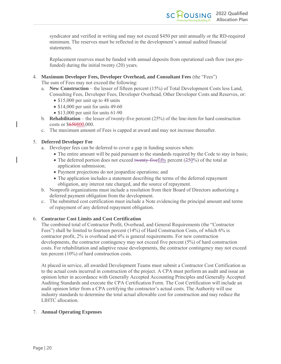syndicator and verified in writing and may not exceed \$450 per unit annually or the RD-required minimum. The reserves must be reflected in the development's annual audited financial statements.

Replacement reserves must be funded with annual deposits from operational cash flow (not prefunded) during the initial twenty (20) years.

4. **Maximum Developer Fees, Developer Overhead, and Consultant Fees** (the "Fees")

The sum of Fees may not exceed the following:

- a. **New Construction** the lesser of fifteen percent (15%) of Total Development Costs less Land, Consulting Fees, Developer Fees, Developer Overhead, Other Developer Costs and Reserves, or:
	- \$15,000 per unit up to 48 units
	- \$14,000 per unit for units 49-60
	- \$13,000 per unit for units 61-90
- b. **Rehabilitation** the lesser of twenty-five percent (25%) of the line-item for hard construction costs or \$650800,000.
- c. The maximum amount of Fees is capped at award and may not increase thereafter.

#### 5. **Deferred Developer Fee**

- a. Developer fees can be deferred to cover a gap in funding sources when:
	- The entire amount will be paid pursuant to the standards required by the Code to stay in basis;
	- The deferred portion does not exceed twenty-five fifty percent (250%) of the total at application submission;
	- Payment projections do not jeopardize operations; and
	- The application includes a statement describing the terms of the deferred repayment obligation, any interest rate charged, and the source of repayment.
- b. Nonprofit organizations must include a resolution from their Board of Directors authorizing a deferred payment obligation from the development.
- c. The submitted cost certification must include a Note evidencing the principal amount and terms of repayment of any deferred repayment obligation.

#### 6. **Contractor Cost Limits and Cost Certification**

The combined total of Contractor Profit, Overhead, and General Requirements (the "Contractor Fees") shall be limited to fourteen percent (14%) of Hard Construction Costs, of which 6% is contractor profit, 2% is overhead and 6% is general requirements. For new construction developments, the contractor contingency may not exceed five percent (5%) of hard construction costs. For rehabilitation and adaptive reuse developments, the contractor contingency may not exceed ten percent (10%) of hard construction costs.

At placed in service, all awarded Development Teams must submit a Contractor Cost Certification as to the actual costs incurred in construction of the project. A CPA must perform an audit and issue an opinion letter in accordance with Generally Accepted Accounting Principles and Generally Accepted Auditing Standards and execute the CPA Certification Form. The Cost Certification will include an audit opinion letter from a CPA certifying the contractor's actual costs. The Authority will use industry standards to determine the total actual allowable cost for construction and may reduce the LIHTC allocation.

#### 7. **Annual Operating Expenses**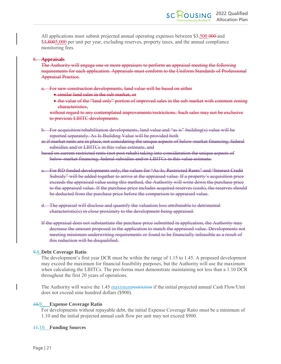All applications must submit projected annual operating expenses between \$3,500 000-and \$3,8005,000 per unit per year, excluding reserves, property taxes, and the annual compliance monitoring fees.

#### 8. **Appraisals**

The Authority will engage one or more appraisers to perform an appraisal meeting the following requirements for each application. Appraisals must conform to the Uniform Standards of Professional Appraisal Practice.

a. For new construction developments, land value will be based on either

- similar land sales in the sub-market, or
- the value of the "land only" portion of improved sales in the sub-market with common zoning characteristics,

without regard to any contemplated improvements/restrictions. Such sales may not be exclusive to previous LIHTC developments.

b. For acquisition/rehabilitation developments, land value and "as is" building(s) value will be reported separately. As-Is Building Value will be provided both

as if market rents are in place, not considering the unique aspects of below-market financing, federal subsidies and/or LIHTCs in this value estimate, and

- based on current restricted rents (not post rehab) taking into consideration the unique aspects of below-market financing, federal subsidies and/or LIHTCs in this value estimate.
- c. For RD funded developments only, the values for "As-Is, Restricted Rents" and "Interest Credit Subsidy" will be added together to arrive at the appraised value. If a property's acquisition price exceeds the appraised value using this method, the Authority will write down the purchase price to the appraised value. If the purchase price includes acquired reserves (cash), the reserves should be deducted from the purchase price before the comparison to appraised value.
- d. The appraisal will disclose and quantify the valuation loss attributable to detrimental characteristic(s) in close proximity to the development being appraised.
- If the appraisal does not substantiate the purchase price submitted in application, the Authority may decrease the amount proposed in the application to match the appraised value. Developments not meeting minimum underwriting requirements or found to be financially infeasible as a result of this reduction will be disqualified.

#### 9.8.**Debt Coverage Ratio**

The development's first year DCR must be within the range of 1.15 to 1.45. A proposed development may exceed the maximum for financial feasibility purposes, but the Authority will use the maximum when calculating the LIHTCs. The pro-forma must demonstrate maintaining not less than a 1.10 DCR throughout the first 20 years of operations.

The Authority will waive the 1.45 maximum restriction if the initial projected annual Cash Flow/Unit does not exceed nine hundred dollars (\$900).

#### 10.9. **Expense Coverage Ratio**

For developments without repayable debt, the initial Expense Coverage Ratio must be a minimum of 1.10 and the initial projected annual cash flow per unit may not exceed \$900.

#### 11.10. **Funding Sources**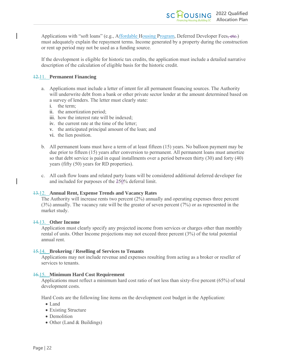Applications with "soft loans" (e.g., Affordable Housing Program, Deferred Developer Fees, etc.) must adequately explain the repayment terms. Income generated by a property during the construction or rent up period may not be used as a funding source.

If the development is eligible for historic tax credits, the application must include a detailed narrative description of the calculation of eligible basis for the historic credit.

#### 12.11. **Permanent Financing**

- a. Applications must include a letter of intent for all permanent financing sources. The Authority will underwrite debt from a bank or other private sector lender at the amount determined based on a survey of lenders. The letter must clearly state:
	- i. the term;
	- ii. the amortization period;
	- iii. how the interest rate will be indexed;
	- iv. the current rate at the time of the letter;
	- v. the anticipated principal amount of the loan; and
	- vi. the lien position.
- b. All permanent loans must have a term of at least fifteen (15) years. No balloon payment may be due prior to fifteen (15) years after conversion to permanent. All permanent loans must amortize so that debt service is paid in equal installments over a period between thirty (30) and forty (40) years (fifty (50) years for RD properties).
- c. All cash flow loans and related party loans will be considered additional deferred developer fee and included for purposes of the 250% deferral limit.

#### 13.12. **Annual Rent, Expense Trends and Vacancy Rates**

The Authority will increase rents two percent (2%) annually and operating expenses three percent (3%) annually. The vacancy rate will be the greater of seven percent (7%) or as represented in the market study.

#### 14.13. **Other Income**

Application must clearly specify any projected income from services or charges other than monthly rental of units. Other Income projections may not exceed three percent (3%) of the total potential annual rent.

#### 15.14. **Brokering / Reselling of Services to Tenants**

Applications may not include revenue and expenses resulting from acting as a broker or reseller of services to tenants.

#### 16.15. **Minimum Hard Cost Requirement**

Applications must reflect a minimum hard cost ratio of not less than sixty-five percent (65%) of total development costs.

Hard Costs are the following line items on the development cost budget in the Application:

- Land
- Existing Structure
- Demolition
- Other (Land & Buildings)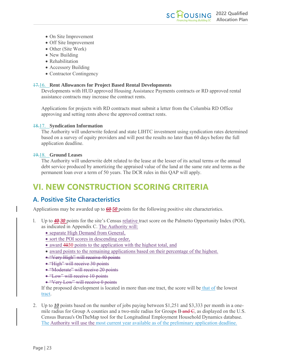- On Site Improvement
- Off Site Improvement
- Other (Site Work)
- New Building
- Rehabilitation
- Accessory Building
- Contractor Contingency

#### 17.16. **Rent Allowances for Project Based Rental Developments**

Developments with HUD approved Housing Assistance Payments contracts or RD approved rental assistance contracts may increase the contract rents.

Applications for projects with RD contracts must submit a letter from the Columbia RD Office approving and setting rents above the approved contract rents.

#### 18.17. **Syndication Information**

The Authority will underwrite federal and state LIHTC investment using syndication rates determined based on a survey of equity providers and will post the results no later than 60 days before the full application deadline.

#### 19.18. **Ground Leases**

The Authority will underwrite debt related to the lease at the lesser of its actual terms or the annual debt service produced by amortizing the appraised value of the land at the same rate and terms as the permanent loan over a term of 50 years. The DCR rules in this QAP will apply.

# <span id="page-23-0"></span>**VI. NEW CONSTRUCTION SCORING CRITERIA**

### <span id="page-23-1"></span>**A. Positive Site Characteristics**

Applications may be awarded up to *60 50* points for the following positive site characteristics.

- l. Up to *40 30* points for the site's Census relative tract score on the Palmetto Opportunity Index (POI), as indicated in Appendix C. The Authority will:
	- separate High Demand from General,
	- sort the POI scores in descending order,
	- award 4030 points to the application with the highest total, and
	- award points to the remaining applications based on their percentage of the highest.
	- "Very High" will receive 40 points
	- "High" will receive 30 points
	- "Moderate" will receive 20 points
	- "Low" will receive 10 points
	- "Very Low" will receive 0 points

If the proposed development is located in more than one tract, the score will be that of the lowest tract.

2. Up to *10* points based on the number of jobs paying between \$1,251 and \$3,333 per month in a onemile radius for Group A counties and a two-mile radius for Groups  $B$ -and  $C$ , as displayed on the U.S. Census Bureau's OnTheMap tool for the Longitudinal Employment Household Dynamics database. The Authority will use the most current year available as of the preliminary application deadline.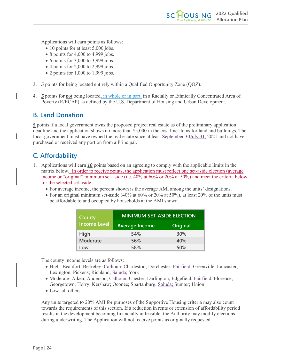Applications will earn points as follows:

- 10 points for at least 5,000 jobs.
- 8 points for 4,000 to 4,999 jobs.
- $\bullet$  6 points for 3,000 to 3,999 jobs.
- $\bullet$  4 points for 2,000 to 2,999 jobs.
- 2 points for 1,000 to 1,999 jobs.
- 3. *5* points for being located entirely within a Qualified Opportunity Zone (QOZ).
- 4. *5* points for not being located, in whole or in part, in a Racially or Ethnically Concentrated Area of Poverty (R/ECAP) as defined by the U.S. Department of Housing and Urban Development.

**2022 Qualified Allocation Plan**

**OUSING** 

### <span id="page-24-0"></span>**B. Land Donation**

*5* points if a local government owns the proposed project real estate as of the preliminary application deadline and the application shows no more than \$5,000 in the cost line-items for land and buildings. The local government must have owned the real estate since at least September 30July 31, 2021 and not have purchased or received any portion from a Principal.

### <span id="page-24-1"></span>**C. Affordability**

- 1. Applications will earn *10* points based on an agreeing to comply with the applicable limits in the matrix below. In order to receive points, the application must reflect one set-aside election (average income or "original" minimum set-aside (i.e. 40% at 60% or 20% at 50%) and meet the criteria below for the selected set-aside.
	- For average income, the percent shown is the average AMI among the units' designations.
	- For an original minimum set-aside (40% at 60% or 20% at 50%), at least 20% of the units must be affordable to and occupied by households at the AMI shown.

| County              | <b>MINIMUM SET-ASIDE ELECTION</b> |                 |  |
|---------------------|-----------------------------------|-----------------|--|
| <b>Income Level</b> | <b>Average Income</b>             | <b>Original</b> |  |
| High                | 54%                               | 30%             |  |
| <b>Moderate</b>     | 56%                               | 40%             |  |
| Low                 | 58%                               | 50%             |  |

The county income levels are as follows:

- High- Beaufort; Berkeley; Calhoun; Charleston; Dorchester; Fairfield; Greenville; Lancaster; Lexington; Pickens; Richland; Saluda; York
- Moderate- Aiken; Anderson; Calhoun; Chester; Darlington; Edgefield; Fairfield; Florence; Georgetown; Horry; Kershaw; Oconee; Spartanburg; Saluda; Sumter; Union
- Low- all others

Any units targeted to 20% AMI for purposes of the Supportive Housing criteria may also count towards the requirements of this section. If a reduction in rents or extension of affordability period results in the development becoming financially unfeasible, the Authority may modify elections during underwriting. The Application will not receive points as originally requested.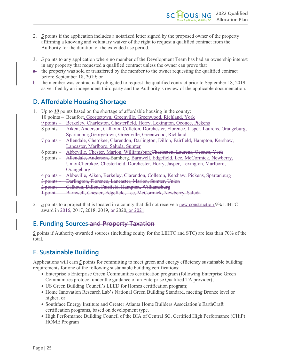- 2. *5* points if the application includes a notarized letter signed by the proposed owner of the property affirming a knowing and voluntary waiver of the right to request a qualified contract from the Authority for the duration of the extended use period.
- 3. *5* points to any application where no member of the Development Team has had an ownership interest in any property that requested a qualified contract unless the owner can prove that
- a. the property was sold or transferred by the member to the owner requesting the qualified contract before September 18, 2019; or
- b. the member was contractually obligated to request the qualified contract prior to September 18, 2019, as verified by an independent third party and the Authority's review of the applicable documentation.

### <span id="page-25-0"></span>**D. Affordable Housing Shortage**

|                                                                                         | Up to $\underline{10}$ points based on the shortage of affordable housing in the county: |                                                                                        |  |  |
|-----------------------------------------------------------------------------------------|------------------------------------------------------------------------------------------|----------------------------------------------------------------------------------------|--|--|
|                                                                                         | 10 points - Beaufort, Georgetown, Greenville, Greenwood, Richland, York                  |                                                                                        |  |  |
| Berkeley, Charleston, Chesterfield, Horry, Lexington, Oconee, Pickens<br>$9$ points $-$ |                                                                                          |                                                                                        |  |  |
|                                                                                         | $8$ points $-$                                                                           | Aiken, Anderson, Calhoun, Colleton, Dorchester, Florence, Jasper, Laurens, Orangeburg, |  |  |
|                                                                                         |                                                                                          | SpartanburgGeorgetown, Greenville, Greenwood, Richland                                 |  |  |
|                                                                                         | $7$ points $-$                                                                           | Allendale, Cherokee, Clarendon, Darlington, Dillon, Fairfield, Hampton, Kershaw,       |  |  |
|                                                                                         |                                                                                          | Lancaster, Marlboro, Saluda, Sumter                                                    |  |  |
|                                                                                         | $6$ points $-$                                                                           | Abbeville, Chester, Marion, WilliamsburgCharleston, Laurens, Oconee, York              |  |  |
|                                                                                         | $5$ points $-$                                                                           | Allendale, Anderson, Bamberg, Barnwell, Edgefield, Lee, McCormick, Newberry,           |  |  |
|                                                                                         | UnionCherokee, Chesterfield, Dorchester, Horry, Jasper, Lexington, Marlboro,             |                                                                                        |  |  |
|                                                                                         |                                                                                          | Orangeburg                                                                             |  |  |
|                                                                                         | <del>4 points</del>                                                                      | Abbeville, Aiken, Berkeley, Clarendon, Colleton, Kershaw, Pickens, Spartanburg         |  |  |
|                                                                                         | $\frac{3}{2}$ points                                                                     | Darlington, Florence, Lancaster, Marion, Sumter, Union                                 |  |  |
|                                                                                         | $2$ points                                                                               | Calhoun, Dillon, Fairfield, Hampton, Williamsburg                                      |  |  |
|                                                                                         | <del>point</del>                                                                         | Barnwell, Chester, Edgefield, Lee, McCormick, Newberry, Saluda                         |  |  |
|                                                                                         |                                                                                          |                                                                                        |  |  |

2*. 5* points to a project that is located in a county that did not receive a new construction 9% LIHTC award in 2016, 2017, 2018, 2019, or 2020, or 2021.

### <span id="page-25-1"></span>**E. Funding Sources and Property Taxation**

*5* points if Authority-awarded sources (including equity for the LIHTC and STC) are less than 70% of the total.

### <span id="page-25-2"></span>**F. Sustainable Building**

Applications will earn 5 points for committing to meet green and energy efficiency sustainable building requirements for one of the following sustainable building certifications:

- Enterprise's Enterprise Green Communities certification program (following Enterprise Green Communities protocol under the guidance of an Enterprise Qualified TA provider);
- US Green Building Council's LEED for Homes certification program;
- Home Innovation Research Lab's National Green Building Standard, meeting Bronze level or higher; or
- Southface Energy Institute and Greater Atlanta Home Builders Association's EarthCraft certification programs, based on development type.
- High Performance Building Council of the BIA of Central SC, Certified High Performance (CHiP) HOME Program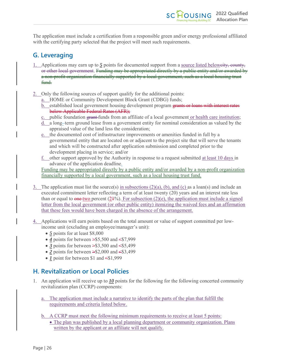The application must include a certification from a responsible green and/or energy professional affiliated with the certifying party selected that the project will meet such requirements.

### <span id="page-26-0"></span>**G. Leveraging**

- 1. Applications may earn up to *5* points for documented support from a source listed belowcity, county, or other local government. Funding may be appropriated directly by a public entity and/or awarded by a non-profit organization financially supported by a local government, such as a local housing trust <del>fund.</del>
- 2. Only the following sources of support qualify for the additional points:
	- a. HOME or Community Development Block Grant (CDBG) funds;
	- b. established local government housing development program grants or loans with interest rates below Applicable Federal Rates (AFR);
	- c. public foundation grant funds from an affiliate of a local government or health care institution;
	- d. a long- term ground lease from a government entity for nominal consideration as valued by the appraised value of the land less the consideration;
	- e. the documented cost of infrastructure improvements or amenities funded in full by a governmental entity that are located on or adjacent to the project site that will serve the tenants and which will be constructed after application submission and completed prior to the development placing in service; and/or
	- f. other support approved by the Authority in response to a request submitted at least 10 days in advance of the application deadline.

Funding may be appropriated directly by a public entity and/or awarded by a non-profit organization financially supported by a local government, such as a local housing trust fund.

3. The application must list the source(s) in subsections  $(2)(a)$ , (b), and (c) as a loan(s) and include an executed commitment letter reflecting a term of at least twenty (20) years and an interest rate less than or equal to  $\theta$  one two percent (2<sup>1%</sup>). For subsection (2)(e), the application must include a signed letter from the local government (or other public entity) itemizing the waived fees and an affirmation that these fees would have been charged in the absence of the arrangement.

4. Applications will earn points based on the total amount or value of support committed per lowincome unit (excluding an employee/manager's unit):

- *5* points for at least \$8,000
- $\bullet$  4 points for between  $\ge$ \$5,500 and  $\le$ \$7,999
- 3 points for between  $\geq$ \$3,500 and  $\leq$ \$5,499
- 2 points for between  $\geq$ \$2,000 and  $\leq$ \$3,499
- *1* point for between \$1 and <\$1,999

### <span id="page-26-1"></span>**H. Revitalization or Local Policies**

- 1. An application will receive up to *10* points for the following for the following concerted community revitalization plan (CCRP) components:
	- a. The application must include a narrative to identify the parts of the plan that fulfill the requirements and criteria listed below.
	- b. A CCRP must meet the following minimum requirements to receive at least 5 points:
		- The plan was published by a local planning department or community organization. Plans written by the applicant or an affiliate will not qualify.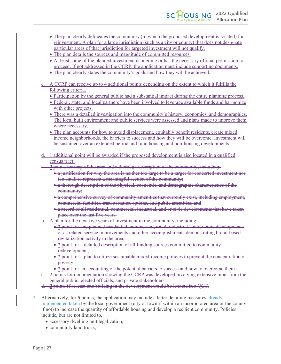- The plan clearly delineates the community (in which the proposed development is located) for reinvestment. A plan for a large jurisdiction (such as a city or county) that does not designate particular areas of that jurisdiction for targeted investment will not qualify.
- The plan details the sources and magnitude of committed resources.
- At least some of the planned investment is ongoing or has the necessary official permission to proceed. If not addressed in the CCRP, the application must include supporting documents.
- The plan clearly states the community's goals and how they will be achieved.
- c. A CCRP can receive up to 4 additional points depending on the extent to which it fulfills the following criteria.
	- Participation by the general public had a substantial impact during the entire planning process.
	- Federal, state, and local partners have been involved to leverage available funds and harmonize with other projects.
	- There was a detailed investigation into the community's history, economics, and demographics. The local built environment and public services were assessed and plans made to improve them where necessary.
	- The plan accounts for how to avoid displacement, equitably benefit residents, create mixed income neighborhoods, the barriers to success and how they will be overcome. Investment will be sustained over an extended period and fund housing and non-housing developments.
- d. 1 additional point will be awarded if the proposed development is also located in a qualified census tract.
- a. *2* points for map of the area and a thorough description of the community, including:
	- a justification for why the area is neither too large to be a target for concerted investment nor too small to represent a meaningful section of the community;
	- a thorough description of the physical, economic, and demographic characteristics of the community;
	- a comprehensive survey of community amenities that currently exist, including employment, commercial facilities, transportation options, and public amenities; and
	- a record of all residential, commercial, industrial, and/or civic developments that have taken place over the last five years.
- b. A plan for the next five years of investment in the community, including:
	- *1* point for any planned residential, commercial, retail, industrial, and/or civic developments or as related service improvements and other accomplishments demonstrating broad-based revitalization activity in the area;
	- *1* point for a detailed description of all funding sources committed to community redevelopment;
	- *1* point for a plan to utilize sustainable mixed-income policies to prevent the concentration of poverty;
	- *1* point for an accounting of the potential barriers to success and how to overcome them.
- c. *2* points for documentation showing the CCRP was developed involving extensive input from the general public, elected officials, and private stakeholders.
- d. *2* points if at least one building in the development would be located in a QCT.
- 2. Alternatively, for *5* points, the application may include a letter detailing measures already implemented taken by the local government (city or town if within an incorporated area or the county if not) to increase the quantity of affordable housing and develop a resilient community. Policies include, but are not limited to,
	- accessory dwelling unit legalization,
	- community land trusts,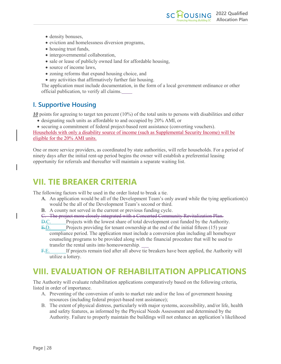- density bonuses,
- eviction and homelessness diversion programs,
- housing trust funds,
- intergovernmental collaboration,
- sale or lease of publicly owned land for affordable housing,
- source of income laws,
- zoning reforms that expand housing choice, and
- any activities that affirmatively further fair housing.

The application must include documentation, in the form of a local government ordinance or other official publication, to verify all claims.

**2022 Qualified**

**Allocation Plan**

### <span id="page-28-0"></span>**I. Supportive Housing**

*10* points for agreeing to target ten percent (10%) of the total units to persons with disabilities and either

• designating such units as affordable to and occupied by 20% AMI, or

• securing a commitment of federal project-based rent assistance (converting vouchers). Households with only a disability source of income (such as Supplemental Security Income) will be eligible for the 20% AMI units.

One or more service providers, as coordinated by state authorities, will refer households. For a period of ninety days after the initial rent-up period begins the owner will establish a preferential leasing opportunity for referrals and thereafter will maintain a separate waiting list.

# <span id="page-28-1"></span>**VII. TIE BREAKER CRITERIA**

The following factors will be used in the order listed to break a tie.

- A. An application would be all of the Development Team's only award while the tying application(s) would be the all of the Development Team's second or third.
- B. A county not served in the current or previous funding cycle.
- C. The project more closely integrated with a Concerted Community Revitalization Plan.
- D.C. Projects with the lowest share of total development cost funded by the Authority.
- E.D. Projects providing for tenant ownership at the end of the initial fifteen (15) year compliance period. The application must include a conversion plan including all homebuyer counseling programs to be provided along with the financial procedure that will be used to transfer the rental units into homeownership.
- F.E. If projects remain tied after all above tie breakers have been applied, the Authority will utilize a lottery.

# <span id="page-28-2"></span>**VIII. EVALUATION OF REHABILITATION APPLICATIONS**

The Authority will evaluate rehabilitation applications comparatively based on the following criteria, listed in order of importance.

- A. Preventing of the conversion of units to market rate and/or the loss of government housing resources (including federal project-based rent assistance);
- B. The extent of physical distress, particularly with major systems, accessibility, and/or life, health and safety features, as informed by the Physical Needs Assessment and determined by the Authority. Failure to properly maintain the buildings will not enhance an application's likelihood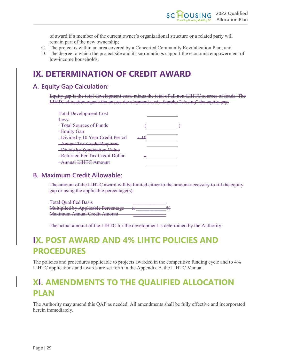of award if a member of the current owner's organizational structure or a related party will remain part of the new ownership;

- C. The project is within an area covered by a Concerted Community Revitalization Plan; and
- D. The degree to which the project site and its surroundings support the economic empowerment of low-income households.

### **IX. DETERMINATION OF CREDIT AWARD**

### **A. Equity Gap Calculation:**

Equity gap is the total development costs minus the total of all non-LIHTC sources of funds. The LIHTC allocation equals the excess development costs, thereby "closing" the equity gap.

| <b>Total Development Cost</b>         |  |
|---------------------------------------|--|
| Less:                                 |  |
| <b>-Total Sources of Funds</b>        |  |
| <b>Equity Gap</b>                     |  |
| -Divide by 10 Year Credit Period      |  |
| <b>Annual Tax Credit Required</b>     |  |
| -Divide by Syndication Value          |  |
| Returned Per Tax Credit Dollar        |  |
| $_{\rm{imuol}}$ [HTC $_{\rm{Amount}}$ |  |
|                                       |  |

### **B. Maximum Credit Allowable:**

The amount of the LIHTC award will be limited either to the amount necessary to fill the equity gap or using the applicable percentage(s).

| <b>Total Qualified Basis</b>               |  |
|--------------------------------------------|--|
| <b>Multiplied by Applicable Percentage</b> |  |
| <b>Maximum Annual Credit Amount</b>        |  |

The actual amount of the LIHTC for the development is determined by the Authority.

# <span id="page-29-0"></span>**IX. POST AWARD AND 4% LIHTC POLICIES AND PROCEDURES**

The policies and procedures applicable to projects awarded in the competitive funding cycle and to 4% LIHTC applications and awards are set forth in the Appendix E, the LIHTC Manual.

# <span id="page-29-1"></span>**XI. AMENDMENTS TO THE QUALIFIED ALLOCATION PLAN**

The Authority may amend this QAP as needed. All amendments shall be fully effective and incorporated herein immediately.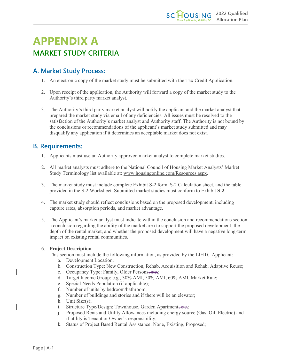# **APPENDIX A MARKET STUDY CRITERIA**

### <span id="page-30-0"></span>**A. Market Study Process:**

- 1. An electronic copy of the market study must be submitted with the Tax Credit Application.
- 2. Upon receipt of the application, the Authority will forward a copy of the market study to the Authority's third party market analyst.
- 3. The Authority's third party market analyst will notify the applicant and the market analyst that prepared the market study via email of any deficiencies. All issues must be resolved to the satisfaction of the Authority's market analyst and Authority staff. The Authority is not bound by the conclusions or recommendations of the applicant's market study submitted and may disqualify any application if it determines an acceptable market does not exist.

### <span id="page-30-1"></span>**B. Requirements:**

- 1. Applicants must use an Authority approved market analyst to complete market studies.
- 2. All market analysts must adhere to the National Council of Housing Market Analysts' Market Study Terminology list available at: [www.housingonline.com/Resources.aspx.](http://www.housingonline.com/Resources.aspx)
- 3. The market study must include complete Exhibit S-2 form, S-2 Calculation sheet, and the table provided in the S-2 Worksheet. Submitted market studies must conform to Exhibit **S-2**.
- 4. The market study should reflect conclusions based on the proposed development, including capture rates, absorption periods, and market advantage.
- 5. The Applicant's market analyst must indicate within the conclusion and recommendations section a conclusion regarding the ability of the market area to support the proposed development, the depth of the rental market, and whether the proposed development will have a negative long-term impact on existing rental communities.

#### 6. **Project Description**

This section must include the following information, as provided by the LIHTC Applicant:

- a. Development Location;
- b. Construction Type: New Construction, Rehab, Acquisition and Rehab, Adaptive Reuse;
- c. Occupancy Type: Family, Older Persons, etc.;
- d. Target Income Group: e.g., 30% AMI, 50% AMI, 60% AMI, Market Rate;
- e. Special Needs Population (if applicable);
- f. Number of units by bedroom/bathroom;
- g. Number of buildings and stories and if there will be an elevator;
- h. Unit Size(s);
- i. Structure Type/Design: Townhouse, Garden Apartment, etc.;
- j. Proposed Rents and Utility Allowances including energy source (Gas, Oil, Electric) and if utility is Tenant or Owner's responsibility;
- k. Status of Project Based Rental Assistance: None, Existing, Proposed;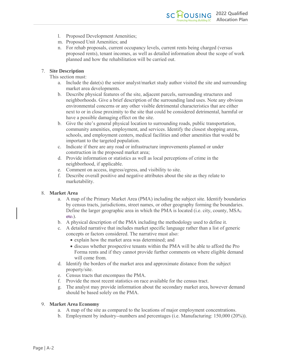- l. Proposed Development Amenities;
- m. Proposed Unit Amenities; and
- n. For rehab proposals, current occupancy levels, current rents being charged (versus proposed rents), tenant incomes, as well as detailed information about the scope of work planned and how the rehabilitation will be carried out.

#### 7. **Site Description**

This section must:

- a. Include the date(s) the senior analyst/market study author visited the site and surrounding market area developments.
- b. Describe physical features of the site, adjacent parcels, surrounding structures and neighborhoods. Give a brief description of the surrounding land uses. Note any obvious environmental concerns or any other visible detrimental characteristics that are either next to or in close proximity to the site that could be considered detrimental, harmful or have a possible damaging effect on the site.
- b. Give the site's general physical location to surrounding roads, public transportation, community amenities, employment, and services. Identify the closest shopping areas, schools, and employment centers, medical facilities and other amenities that would be important to the targeted population.
- c. Indicate if there are any road or infrastructure improvements planned or under construction in the proposed market area;
- d. Provide information or statistics as well as local perceptions of crime in the neighborhood, if applicable.
- e. Comment on access, ingress/egress, and visibility to site.
- f. Describe overall positive and negative attributes about the site as they relate to marketability.

#### 8. **Market Area**

- a. A map of the Primary Market Area (PMA) including the subject site. Identify boundaries by census tracts, jurisdictions, street names, or other geography forming the boundaries. Define the larger geographic area in which the PMA is located (i.e. city, county,  $MSA_{\tau}$ ) etc.).
- b. A physical description of the PMA including the methodology used to define it.
- c. A detailed narrative that includes market specific language rather than a list of generic concepts or factors considered. The narrative must also:
	- explain how the market area was determined; and
	- discuss whether prospective tenants within the PMA will be able to afford the Pro Forma rents and if they cannot provide further comments on where eligible demand will come from.
- d. Identify the borders of the market area and approximate distance from the subject property/site.
- e. Census tracts that encompass the PMA.
- f. Provide the most recent statistics on race available for the census tract.
- g. The analyst may provide information about the secondary market area, however demand should be based solely on the PMA.

#### 9. **Market Area Economy**

- a. A map of the site as compared to the locations of major employment concentrations.
- b. Employment by industry--numbers and percentages (i.e. Manufacturing: 150,000 (20%)).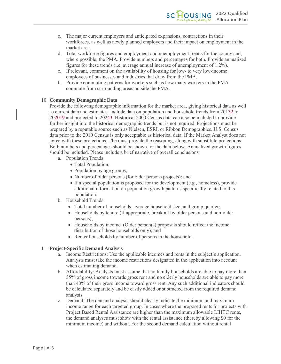- c. The major current employers and anticipated expansions, contractions in their workforces, as well as newly planned employers and their impact on employment in the market area.
- d. Total workforce figures and employment and unemployment trends for the county and, where possible, the PMA. Provide numbers and percentages for both. Provide annualized figures for these trends (i.e. average annual increase of unemployment of 1.2%).
- e. If relevant, comment on the availability of housing for low- to very low-income employees of businesses and industries that draw from the PMA.
- f. Provide commuting patterns for workers such as how many workers in the PMA commute from surrounding areas outside the PMA.

#### 10. **Community Demographic Data**

Provide the following demographic information for the market area, giving historical data as well as current data and estimates. Include data on population and household trends from 20132 to 202019 and projected to 20243. Historical 2000 Census data can also be included to provide further insight into the historical demographic trends but is not required. Projections must be prepared by a reputable source such as Nielsen, ESRI, or Ribbon Demographics. U.S. Census data prior to the 2010 Census is only acceptable as historical data. If the Market Analyst does not agree with these projections, s/he must provide the reasoning, along with substitute projections. Both numbers and percentages should be shown for the data below. Annualized growth figures should be included. Please include a brief narrative of overall conclusions.

- a. Population Trends
	- Total Population;
	- Population by age groups;
	- Number of older persons (for older persons projects); and
	- If a special population is proposed for the development (e.g., homeless), provide additional information on population growth patterns specifically related to this population.
- b. Household Trends
	- Total number of households, average household size, and group quarter;
	- Households by tenure (If appropriate, breakout by older persons and non-older persons);
	- Households by income. (Older person(s) proposals should reflect the income distribution of those households only); and
	- Renter households by number of persons in the household.

#### 11. **Project-Specific Demand Analysis**

- a. Income Restrictions: Use the applicable incomes and rents in the subject's application. Analysts must take the income restrictions designated in the application into account when estimating demand.
- b. Affordability: Analysts must assume that no family households are able to pay more than 35% of gross income towards gross rent and no elderly households are able to pay more than 40% of their gross income toward gross rent. Any such additional indicators should be calculated separately and be easily added or subtracted from the required demand analysis.
- c. Demand: The demand analysis should clearly indicate the minimum and maximum income range for each targeted group. In cases where the proposed rents for projects with Project Based Rental Assistance are higher than the maximum allowable LIHTC rents, the demand analyses must show with the rental assistance (thereby allowing \$0 for the minimum income) and without. For the second demand calculation without rental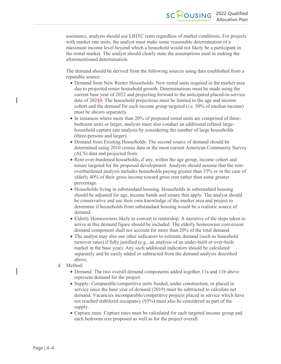assistance, analysts should use LIHTC rents regardless of market conditions. For projects with market rate units, the analyst must make some reasonable determination of a maximum income level beyond which a household would not likely be a participant in the rental market. The analyst should clearly state the assumptions used in making the aforementioned determination.

The demand should be derived from the following sources using data established from a reputable source:

- Demand from New Renter Households: New rental units required in the market area due to projected renter household growth. Determinations must be made using the current base year of 2022 and projecting forward to the anticipated placed-in-service date of 20243. The household projections must be limited to the age and income cohort and the demand for each income group targeted (i.e. 50% of median income) must be shown separately.
- In instances where more than 20% of proposed rental units are comprised of threebedroom units or larger, analysts must also conduct an additional refined largehousehold capture rate analysis by considering the number of large households (three-persons and larger).
- Demand from Existing Households: The second source of demand should be determined using 2010 census data or the most current American Community Survey (ACS) data and projected from:
- Rent over-burdened households, if any, within the age group, income cohort and tenure targeted for the proposed development. Analysts should assume that the rentoverburdened analysis includes households paying greater than 35% or in the case of elderly 40% of their gross income toward gross rent rather than some greater percentage.
- Households living in substandard housing. Households in substandard housing should be adjusted for age, income bands and tenure that apply. The analyst should be conservative and use their own knowledge of the market area and project to determine if households from substandard housing would be a realistic source of demand.
- Elderly Homeowners likely to convert to rentership: A narrative of the steps taken to arrive at this demand figure should be included. The elderly homeowner conversion demand component shall not account for more than 20% of the total demand.
- The analyst may also use other indicators to estimate demand (such as household turnover rates) if fully justified (e.g., an analysis of an under-built or over-built market in the base year). Any such additional indicators should be calculated separately and be easily added or subtracted from the demand analysis described above.
- d. Method:
	- Demand: The two overall demand components added together 11a and 11b above represent demand for the project.
	- Supply: Comparable/competitive units funded, under construction, or placed in service since the base year of demand (2019) must be subtracted to calculate net demand. Vacancies incomparable/competitive projects placed in service which have not reached stabilized occupancy (93%) must also be considered as part of the supply.
	- Capture rates: Capture rates must be calculated for each targeted income group and each bedroom size proposed as well as for the project overall.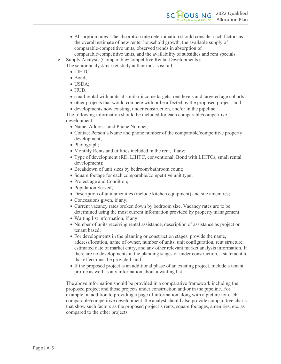- Absorption rates: The absorption rate determination should consider such factors as the overall estimate of new renter household growth, the available supply of comparable/competitive units, observed trends in absorption of comparable/competitive units, and the availability of subsidies and rent specials.
- e. Supply Analysis (Comparable/Competitive Rental Developments):
	- The senior analyst/market study author must visit all
		- LIHTC;
		- Bond;
		- USDA;
		- HUD;
		- small rental with units at similar income targets, rent levels and targeted age cohorts;
		- other projects that would compete with or be affected by the proposed project; and
		- developments now existing, under construction, and/or in the pipeline.

The following information should be included for each comparable/competitive development:

- Name, Address, and Phone Number;
- Contact Person's Name and phone number of the comparable/competitive property development;
- Photograph;
- Monthly Rents and utilities included in the rent, if any;
- Type of development (RD, LIHTC, conventional, Bond with LIHTCs, small rental development);
- Breakdown of unit sizes by bedroom/bathroom count;
- Square footage for each comparable/competitive unit type;
- Project age and Condition;
- Population Served;
- Description of unit amenities (include kitchen equipment) and site amenities;
- Concessions given, if any;
- Current vacancy rates broken down by bedroom size. Vacancy rates are to be determined using the most current information provided by property management.
- Waiting list information, if any;
- Number of units receiving rental assistance, description of assistance as project or tenant based;
- For developments in the planning or construction stages, provide the name, address/location, name of owner, number of units, unit configuration, rent structure, estimated date of market entry, and any other relevant market analysis information. If there are no developments in the planning stages or under construction, a statement to that effect must be provided; and
- If the proposed project is an additional phase of an existing project, include a tenant profile as well as any information about a waiting list.

The above information should be provided in a comparative framework including the proposed project and those projects under construction and/or in the pipeline. For example, in addition to providing a page of information along with a picture for each comparable/competitive development, the analyst should also provide comparative charts that show such factors as the proposed project's rents, square footages, amenities, etc. as compared to the other projects.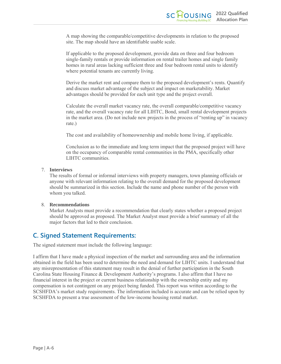A map showing the comparable/competitive developments in relation to the proposed site. The map should have an identifiable usable scale.

If applicable to the proposed development, provide data on three and four bedroom single-family rentals or provide information on rental trailer homes and single family homes in rural areas lacking sufficient three and four bedroom rental units to identify where potential tenants are currently living.

Derive the market rent and compare them to the proposed development's rents. Quantify and discuss market advantage of the subject and impact on marketability. Market advantages should be provided for each unit type and the project overall.

Calculate the overall market vacancy rate, the overall comparable/competitive vacancy rate, and the overall vacancy rate for all LIHTC, Bond, small rental development projects in the market area. (Do not include new projects in the process of "renting up" in vacancy rate.)

The cost and availability of homeownership and mobile home living, if applicable.

Conclusion as to the immediate and long term impact that the proposed project will have on the occupancy of comparable rental communities in the PMA, specifically other LIHTC communities.

#### 7. **Interviews**

The results of formal or informal interviews with property managers, town planning officials or anyone with relevant information relating to the overall demand for the proposed development should be summarized in this section. Include the name and phone number of the person with whom you talked.

#### 8. **Recommendations**

Market Analysts must provide a recommendation that clearly states whether a proposed project should be approved as proposed. The Market Analyst must provide a brief summary of all the major factors that led to their conclusion.

### <span id="page-35-0"></span>**C. Signed Statement Requirements:**

The signed statement must include the following language:

I affirm that I have made a physical inspection of the market and surrounding area and the information obtained in the field has been used to determine the need and demand for LIHTC units. I understand that any misrepresentation of this statement may result in the denial of further participation in the South Carolina State Housing Finance & Development Authority's programs. I also affirm that I have no financial interest in the project or current business relationship with the ownership entity and my compensation is not contingent on any project being funded. This report was written according to the SCSHFDA's market study requirements. The information included is accurate and can be relied upon by SCSHFDA to present a true assessment of the low-income housing rental market.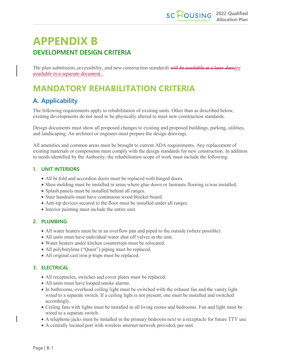# **APPENDIX B DEVELOPMENT DESIGN CRITERIA**

*The plan submission, accessibility, and new construction standards will be available at a later dateare available in a separate document. .*

# <span id="page-36-0"></span>**MANDATORY REHABILITATION CRITERIA**

### <span id="page-36-1"></span>**A. Applicability**

The following requirements apply to rehabilitation of existing units. Other than as described below, existing developments do not need to be physically altered to meet new construction standards.

Design documents must show all proposed changes to existing and proposed buildings, parking, utilities, and landscaping. An architect or engineer must prepare the design drawings.

All amenities and common areas must be brought to current ADA requirements. Any replacement of existing materials or components must comply with the design standards for new construction. In addition to needs identified by the Authority, the rehabilitation scope of work must include the following:

#### <span id="page-36-2"></span>**1. UNIT INTERIORS**

- All bi-fold and accordion doors must be replaced with hinged doors.
- Shoe molding must be installed in areas where glue down or laminate flooring is/was installed.
- Splash panels must be installed behind all ranges.
- Stair handrails must have continuous wood blocker board.
- Anti-tip devices secured to the floor must be installed under all ranges.
- Interior painting must include the entire unit.

#### <span id="page-36-3"></span>**2. PLUMBING**

- All water heaters must be in an overflow pan and piped to the outside (where possible).
- All units must have individual water shut off valves in the unit.
- Water heaters under kitchen countertops must be relocated.
- All polybutylene ("Quest") piping must be replaced.
- All original cast iron p-traps must be replaced.

#### <span id="page-36-4"></span>**3. ELECTRICAL**

- All receptacles, switches and cover plates must be replaced.
- All units must have looped smoke alarms.
- In bathrooms, overhead ceiling light must be switched with the exhaust fan and the vanity light wired to a separate switch. If a ceiling light is not present, one must be installed and switched accordingly.
- Ceiling fans with lights must be installed in all living rooms and bedrooms. Fan and light must be wired to a separate switch.
- A telephone jacks must be installed in the primary bedroom next to a receptacle for future TTY use.
- A centrally located port with wireless internet network provided, per unit.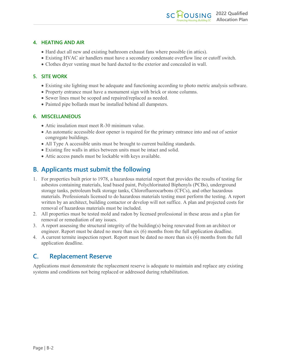#### <span id="page-37-0"></span>**4. HEATING AND AIR**

- Hard duct all new and existing bathroom exhaust fans where possible (in attics).
- Existing HVAC air handlers must have a secondary condensate overflow line or cutoff switch.
- Clothes dryer venting must be hard ducted to the exterior and concealed in wall.

#### <span id="page-37-1"></span>**5. SITE WORK**

- Existing site lighting must be adequate and functioning according to photo metric analysis software.
- Property entrance must have a monument sign with brick or stone columns.
- Sewer lines must be scoped and repaired/replaced as needed.
- Painted pipe bollards must be installed behind all dumpsters.

#### <span id="page-37-2"></span>**6. MISCELLANEOUS**

- Attic insulation must meet R-30 minimum value.
- An automatic accessible door opener is required for the primary entrance into and out of senior congregate buildings.
- All Type A accessible units must be brought to current building standards.
- Existing fire walls in attics between units must be intact and solid.
- Attic access panels must be lockable with keys available.

### <span id="page-37-3"></span>**B. Applicants must submit the following**

- 1. For properties built prior to 1978, a hazardous material report that provides the results of testing for asbestos containing materials, lead based paint, Polychlorinated Biphenyls (PCBs), underground storage tanks, petroleum bulk storage tanks, Chlorofluorocarbons (CFCs), and other hazardous materials. Professionals licensed to do hazardous materials testing must perform the testing. A report written by an architect, building contactor or develop will not suffice. A plan and projected costs for removal of hazardous materials must be included.
- 2. All properties must be tested mold and radon by licensed professional in these areas and a plan for removal or remediation of any issues.
- 3. A report assessing the structural integrity of the building(s) being renovated from an architect or engineer. Report must be dated no more than six (6) months from the full application deadline.
- 4. A current termite inspection report. Report must be dated no more than six (6) months from the full application deadline.

### <span id="page-37-4"></span>**C. Replacement Reserve**

Applications must demonstrate the replacement reserve is adequate to maintain and replace any existing systems and conditions not being replaced or addressed during rehabilitation.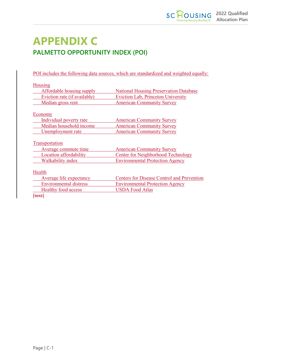# **APPENDIX C PALMETTO OPPORTUNITY INDEX (POI)**

POI includes the following data sources, which are standardized and weighted equally:

| Housing                       |                                                   |
|-------------------------------|---------------------------------------------------|
| Affordable housing supply     | <b>National Housing Preservation Database</b>     |
| Eviction rate (if available)  | <b>Eviction Lab, Princeton University</b>         |
| Median gross rent             | <b>American Community Survey</b>                  |
| Economy                       |                                                   |
| Individual poverty rate       | <b>American Community Survey</b>                  |
| Median household income       | <b>American Community Survey</b>                  |
| Unemployment rate             | <b>American Community Survey</b>                  |
| Transportation                |                                                   |
| Average commute time          | <b>American Community Survey</b>                  |
| Location affordability        | <b>Center for Neighborhood Technology</b>         |
| <b>Walkability index</b>      | <b>Environmental Protection Agency</b>            |
| Health                        |                                                   |
| Average life expectancy       | <b>Centers for Disease Control and Prevention</b> |
| <b>Environmental distress</b> | <b>Environmental Protection Agency</b>            |
| <b>Healthy food access</b>    | <b>USDA Food Atlas</b>                            |

[text]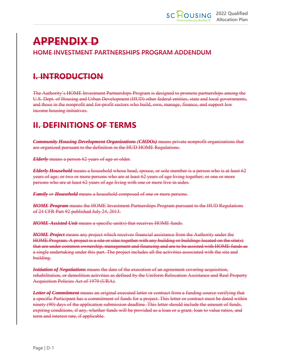# **APPENDIX D HOME INVESTMENT PARTNERSHIPS PROGRAM ADDENDUM**

# **I. INTRODUCTION**

The Authority's HOME Investment Partnerships Program is designed to promote partnerships among the U.S. Dept. of Housing and Urban Development (HUD) other federal entities, state and local governments, and those in the nonprofit and for-profit sectors who build, own, manage, finance, and support low income housing initiatives.

# **II. DEFINITIONS OF TERMS**

*Community Housing Development Organizations (CHDOs)* means private nonprofit organizations that are organized pursuant to the definition in the HUD HOME Regulations.

*Elderly* means a person 62 years of age or older.

*Elderly Household* means a household whose head, spouse, or sole member is a person who is at least 62 years of age; or two or more persons who are at least 62 years of age living together; or one or more persons who are at least 62 years of age living with one or more live-in aides.

*Family or Household* means a household composed of one or more persons.

*HOME Program* means the HOME Investment Partnerships Program pursuant to the HUD Regulations of 24 CFR Part 92 published July 24, 2013.

*HOME-Assisted Unit* means a specific unit(s) that receives HOME funds.

*HOME Project* means any project which receives financial assistance from the Authority under the HOME Program. A project is a site or sites together with any building or buildings located on the site(s) that are under common ownership, management and financing and are to be assisted with HOME funds as a single undertaking under this part. The project includes all the activities associated with the site and building.

*Initiation of Negotiations* means the date of the execution of an agreement covering acquisition, rehabilitation, or demolition activities as defined by the Uniform Relocation Assistance and Real Property Acquisition Policies Act of 1970 (URA).

*Letter of Commitment* means an original executed letter or contract from a funding source verifying that a specific Participant has a commitment of funds for a project. This letter or contract must be dated within ninety (90) days of the application submission deadline. This letter should include the amount of funds, expiring conditions, if any, whether funds will be provided as a loan or a grant, loan to value ratios, and term and interest rate, if applicable.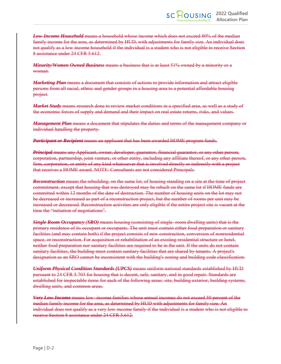*Low-Income Household* means a household whose income which does not exceed 80% of the median family income for the area, as determined by HUD, with adjustments for family size. An individual does not qualify as a low-income household if the individual is a student who is not eligible to receive Section 8 assistance under 24 CFR 5.612.

*Minority/Women Owned Business* means a business that is at least 51% owned by a minority or a woman.

*Marketing Plan* means a document that consists of actions to provide information and attract eligible persons from all racial, ethnic and gender groups in a housing area to a potential affordable housing project.

*Market Study* means research done to review market conditions in a specified area, as well as a study of the economic forces of supply and demand and their impact on real estate returns, risks, and values.

*Management Plan* means a document that stipulates the duties and terms of the management company or individual handling the property.

*Participant or Recipient* means an applicant that has been awarded HOME program funds.

*Principal* means any Applicant, owner, developer, guarantor, financial guarantor, or any other person, corporation, partnership, joint venture, or other entity, including any affiliate thereof, or any other person, firm, corporation, or entity of any kind whatsoever that is involved directly or indirectly with a project that receives a HOME award. NOTE: Consultants are not considered Principals.

*Reconstruction* means the rebuilding, on the same lot, of housing standing on a site at the time of project commitment, except that housing that was destroyed may be rebuilt on the same lot if HOME funds are committed within 12 months of the date of destruction. The number of housing units on the lot may not be decreased or increased as part of a reconstruction project, but the number of rooms per unit may be increased or decreased. Reconstruction activities are only eligible if the entire project site is vacant at the time the "initiation of negotiations".

*Single Room Occupancy (SRO)* means housing (consisting of single- room dwelling units) that is the primary residence of its occupant or occupants. The unit must contain either food preparation or sanitary facilities (and may contain both) if the project consists of new construction, conversion of nonresidential space, or reconstruction. For acquisition or rehabilitation of an existing residential structure or hotel, neither food preparation nor sanitary facilities are required to be in the unit. If the units do not contain sanitary facilities, the building must contain sanitary facilities that are shared by tenants. A project's designation as an SRO cannot be inconsistent with the building's zoning and building code classification.

*Uniform Physical Condition Standards (UPCS)* means uniform national standards established by HUD pursuant to 24 CFR 5.703 for housing that is decent, safe, sanitary, and in good repair. Standards are established for inspectable items for each of the following areas: site, building exterior, building systems, dwelling units, and common areas.

*Very Low-Income* means low- income families whose annual incomes do not exceed 50 percent of the median family income for the area, as determined by HUD with adjustments for family size. An individual does not qualify as a very low-income family if the individual is a student who is not eligible to receive Section 8 assistance under 24 CFR 5.612.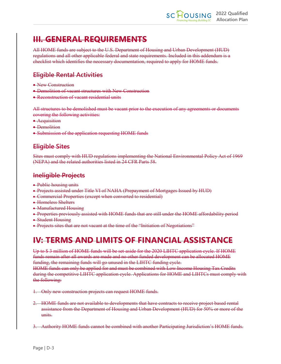# **III. GENERAL REQUIREMENTS**

All HOME funds are subject to the U.S. Department of Housing and Urban Development (HUD) regulations and all other applicable federal and state requirements. Included in this addendum is a checklist which identifies the necessary documentation, required to apply for HOME funds.

### **Eligible Rental Activities**

- New Construction
- Demolition of vacant structures with New Construction
- Reconstruction of vacant residential units

All structures to be demolished must be vacant prior to the execution of any agreements or documents covering the following activities:

- Acquisition
- Demolition
- Submission of the application requesting HOME funds

### **Eligible Sites**

Sites must comply with HUD regulations implementing the National Environmental Policy Act of 1969 (NEPA) and the related authorities listed in 24 CFR Parts 58.

### **Ineligible Projects**

- Public housing units
- Projects assisted under Title VI of NAHA (Prepayment of Mortgages Issued by HUD)
- Commercial Properties (except when converted to residential)
- Homeless Shelters
- Manufactured Housing
- Properties previously assisted with HOME funds that are still under the HOME affordability period
- Student Housing
- Projects sites that are not vacant at the time of the "Initiation of Negotiations"

# **IV: TERMS AND LIMITS OF FINANCIAL ASSISTANCE**

Up to \$3 million of HOME funds will be set-aside for the 2020 LIHTC application cycle. If HOME funds remain after all awards are made and no other funded development can be allocated HOME funding, the remaining funds will go unused in the LIHTC funding cycle.

HOME funds can only be applied for and must be combined with Low Income Housing Tax Credits during the competitive LIHTC application cycle. Applications for HOME and LIHTCs must comply with the following:

- 1. Only new construction projects can request HOME funds.
- 2. HOME funds are not available to developments that have contracts to receive project based rental assistance from the Department of Housing and Urban Development (HUD) for 50% or more of the units.
- 3. Authority HOME funds cannot be combined with another Participating Jurisdiction's HOME funds.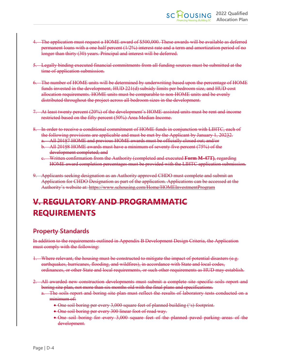- 4. The application must request a HOME award of \$500,000. These awards will be available as deferred permanent loans with a one half percent (1/2%) interest rate and a term and amortization period of no longer than thirty (30) years. Principal and interest will be deferred.
- 5. Legally binding executed financial commitments from all funding sources must be submitted at the time of application submission.
- 6. The number of HOME units will be determined by underwriting based upon the percentage of HOME funds invested in the development, HUD 221(d) subsidy limits per bedroom size, and HUD cost allocation requirements. HOME units must be comparable to non-HOME units and be evenly distributed throughout the project across all bedroom sizes in the development.
- 7. At least twenty percent (20%) of the development's HOME-assisted units must be rent and income restricted based on the fifty percent (50%) Area Median Income.
- 8. In order to receive a conditional commitment of HOME funds in conjunction with LIHTC, each of the following provisions are applicable and must be met by the Applicant by January 1, 20232.
	- a. All 20187 HOME and previous HOME awards must be officially closed out; and/or
	- b. All 20198 HOME awards must have a minimum of seventy five percent (75%) of the development completed; and
	- c. Written confirmation from the Authority (completed and executed **Form M-47T)**, regarding HOME award completion percentages must be provided with the LIHTC application submission.
- 9. Applicants seeking designation as an Authority approved CHDO must complete and submit an Application for CHDO Designation as part of the application. Applications can be accessed at the Authority's website at: https://www.schousing.com/Home/HOMEInvestmentProgram

# **V. REGULATORY AND PROGRAMMATIC REQUIREMENTS**

### **Property Standards**

In addition to the requirements outlined in Appendix B Development Design Criteria, the Application must comply with the following:

- 1. Where relevant, the housing must be constructed to mitigate the impact of potential disasters (e.g. earthquakes, hurricanes, flooding, and wildfires), in accordance with State and local codes, ordinances, or other State and local requirements, or such other requirements as HUD may establish.
- 2. All awarded new construction developments must submit a complete site specific soils report and boring site plan, not more than six months old with the final plans and specifications.
	- a. The soils report and boring site plan must reflect the results of laboratory tests conducted on a minimum of:
		- One soil boring per every 3,000 square feet of planned building ('s) footprint.
		- One soil boring per every 300 linear foot of road way.
		- One soil boring for every 3,000 square feet of the planned paved parking areas of the development.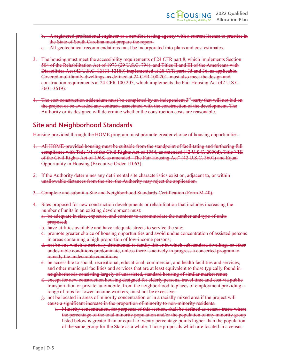- b. A registered professional engineer or a certified testing agency with a current license to practice in the State of South Carolina must prepare the report.
- c. All geotechnical recommendations must be incorporated into plans and cost estimates.
- 3. The housing must meet the accessibility requirements of 24 CFR part 8, which implements Section 504 of the Rehabilitation Act of 1973 (29 U.S.C. 794), and Titles II and III of the Americans with Disabilities Act (42 U.S.C. 12131-12189) implemented at 28 CFR parts 35 and 36, as applicable. Covered multifamily dwellings, as defined at 24 CFR 100.201, must also meet the design and construction requirements at 24 CFR 100.205, which implements the Fair Housing Act (42 U.S.C. 3601-3619).
- 4. The cost construction addendum must be completed by an independent  $3<sup>rd</sup>$  party that will not bid on the project or be awarded any contracts associated with the construction of the development. The Authority or its designee will determine whether the construction costs are reasonable.

### **Site and Neighborhood Standards**

Housing provided through the HOME program must promote greater choice of housing opportunities.

- 1. All HOME-provided housing must be suitable from the standpoint of facilitating and furthering full compliance with Title VI of the Civil Rights Act of 1964, as amended (42 U.S.C. 2000d), Title VIII of the Civil Rights Act of 1968, as amended "The Fair Housing Act" (42 U.S.C. 3601) and Equal Opportunity in Housing (Executive Order 11063).
- 2. If the Authority determines any detrimental site characteristics exist on, adjacent to, or within unallowable distances from the site, the Authority may reject the application.
- 3. Complete and submit a Site and Neighborhood Standards Certification (Form M-40).
- 4. Sites proposed for new construction developments or rehabilitation that includes increasing the number of units in an existing development must:
	- a. be adequate in size, exposure, and contour to accommodate the number and type of units proposed;
	- b. have utilities available and have adequate streets to service the site;
	- c. promote greater choice of housing opportunities and avoid undue concentration of assisted persons in areas containing a high proportion of low-income persons;
	- d. not be one which is seriously detrimental to family life or in which substandard dwellings or other undesirable conditions predominate, unless there is actively in progress a concerted program to remedy the undesirable conditions;
	- e. be accessible to social, recreational, educational, commercial, and health facilities and services, and other municipal facilities and services that are at least equivalent to those typically found in neighborhoods consisting largely of unassisted, standard housing of similar market rents;
	- f. except for new construction housing designed for elderly persons, travel time and cost via public transportation or private automobile, from the neighborhood to places of employment providing a range of jobs for lower-income workers, must not be excessive.
	- g. not be located in areas of minority concentration or in a racially mixed area if the project will cause a significant increase in the proportion of minority to non-minority residents.
		- i. Minority concentration, for purposes of this section, shall be defined as census tracts where the percentage of the total minority population and/or the population of any minority group listed below is greater than or equal to twenty percentage points higher than the population of the same group for the State as a whole. Those proposals which are located in a census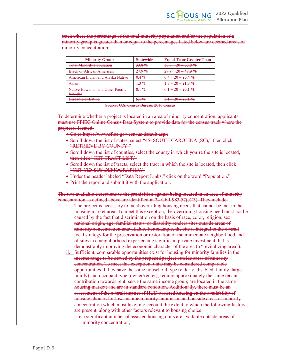track where the percentage of the total minority population and/or the population of a minority group is greater than or equal to the percentages listed below are deemed areas of minority concentration:

| <b>Minority Group</b>                         | <b>Statewide</b> | <b>Equal To or Greater Than</b> |
|-----------------------------------------------|------------------|---------------------------------|
| <b>Total Minority Population</b>              | 33.8%            | $33.8 + 20 = 53.8 \%$           |
| <b>Black or African American</b>              | 27.9%            | $27.9 + 20 = 47.9 %$            |
| American Indian and Alaska Native             | $0.4\%$          | $0.4 + 20 = 20.4$ %             |
| Asian                                         | $1.3\%$          | $1.3 + 20 = 21.3%$              |
| Native Hawaiian and Other Pacific<br>Islander | $0.1\%$          | $0.1 + 20 = 20.1 \%$            |
| Hispanie or Latino                            | $5.1\%$          | $5.1 + 20 = 25.1 \%$            |

Source: U.S. Census Bureau, 2010 Census

To determine whether a project is located in an area of minority concentration, applicants must use FFIEC Online Census Data System to provide data for the census track where the project is located:

- Go to https://www.ffiec.gov/census/default.aspx
- Scroll down the list of states, select "45- SOUTH CAROLINA (SC)," then click "RETRIEVE BY COUNTY."
- Seroll down the list of counties, select the county in which you're the site is located, then click "GET TRACT LIST."
- Seroll down the list of tracts, select the tract in which the site is located, then click "GET CENSUS DEMOGRAPHIC."
- Under the header labeled "Data Report Links," click on the word "Population."
- Print the report and submit it with the application.

The two available exceptions to the prohibition against being located in an area of minority concentration as defined above are identified in 24 CFR  $983.57(e)(3)$ . They include:

- i. The project is necessary to meet overriding housing needs that cannot be met in the housing market area. To meet this exception, the overriding housing need must not be caused by the fact that discrimination on the basis of race, color, religion, sex, national origin, age, familial status, or disability renders sites outside areas of minority concentration unavailable. For example, the site is integral to the overall local strategy for the preservation or restoration of the immediate neighborhood and of sites in a neighborhood experiencing significant private investment that is demonstrably improving the economic character of the area (a "revitalizing area").
- ii. Sufficient, comparable opportunities exist for housing for minority families in the income range to be served by the proposed project outside areas of minority concentration. To meet this exception, units may be considered comparable opportunities if they have the same household type (elderly, disabled, family, large family) and occupant type (owner/renter); require approximately the same tenant contribution towards rent; serve the same income group; are located in the same housing market; and are in standard condition. Additionally, there must be an assessment of the overall impact of HUD-assisted housing on the availability of housing choices for low-income minority families in and outside areas of minority concentration which must take into account the extent to which the following factors are present, along with other factors relevant to housing choice:
	- a significant number of assisted housing units are available outside areas of minority concentration;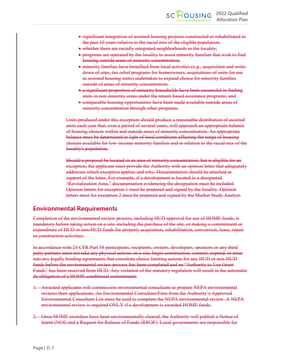- significant integration of assisted housing projects constructed or rehabilitated in the past 10 years relative to the racial mix of the eligible population;
- whether there are racially integrated neighborhoods in the locality;
- programs are operated by the locality to assist minority families that wish to find housing outside areas of minority concentration;
- minority families have benefited from local activities (*e.g.*, acquisition and writedown of sites, tax relief programs for homeowners, acquisitions of units for use as assisted housing units) undertaken to expand choice for minority families outside of areas of minority concentration;
- a significant proportion of minority households have been successful in finding units in non-minority areas under the tenant-based assistance programs; and
- comparable housing opportunities have been made available outside areas of minority concentration through other programs.

Units produced under this exception should produce a reasonable distribution of assisted units each year that, over a period of several years, will approach an appropriate balance of housing choices within and outside areas of minority concentration. An appropriate balance must be determined in light of local conditions affecting the range of housing choices available for low-income minority families and in relation to the racial mix of the locality's population.

Should a proposal be located in an area of minority concentration, but is eligible for an exception, the applicant must provide the Authority with an opinion letter that adequately addresses which exception applies and why. Documentation should be attached in support of the letter. For example, if a development is located in a designated "Revitalization Area," documentation evidencing the designation must be included. Opinion letters for exception 1 must be prepared and signed by the locality. Opinion letters must for exception 2 must be prepared and signed by the Market Study Analyst.

#### **Environmental Requirements**

Completion of the environmental review process, including HUD approval for use of HOME funds, is mandatory before taking action on a site, including the purchase of the site, or making a commitment or expenditure of HUD or non-HUD funds for property acquisition, rehabilitation, conversion, lease, repair or construction activities.

In accordance with 24 CFR Part 58 participants, recipients, owners, developers, sponsors or any third party partners must not take any physical actions on a site, begin construction, commit, expend, or enter into any legally binding agreements that constitute choice limiting actions for any HUD or non-HUD funds before the environmental review process has been completed and an "Authority to Use Grant Funds" has been received from HUD. Any violation of the statutory regulation will result in the automatic de-obligation of a HOME conditional commitment.

- 1. Awarded applicants will commission environmental consultants to prepare NEPA environmental reviews their applications. An Environmental Consultant/Firm from the Authority's Approved Environmental Consultant List must be used to complete the NEPA environmental review. A NEPA environmental review is required ONLY if a development is awarded HOME funds.
- 2. Once HOME awardees have been environmentally cleared, the Authority will publish a Notice of Intent (NOI) and a Request for Release of Funds (RROF). Local governments are responsible for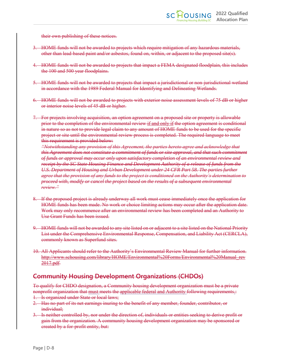their own publishing of these notices.

- 3. HOME funds will not be awarded to projects which require mitigation of any hazardous materials, other than lead-based paint and/or asbestos, found on, within, or adjacent to the proposed site(s).
- 4. HOME funds will not be awarded to projects that impact a FEMA designated floodplain, this includes the 100 and 500 year floodplains.
- 5. HOME funds will not be awarded to projects that impact a jurisdictional or non-jurisdictional wetland in accordance with the 1989 Federal Manual for Identifying and Delineating Wetlands.
- 6. HOME funds will not be awarded to projects with exterior noise assessment levels of 75 dB or higher or interior noise levels of 45 dB or higher.
- 7. For projects involving acquisition, an option agreement on a proposed site or property is allowable prior to the completion of the environmental review if and only if the option agreement is conditional in nature so as not to provide legal claim to any amount of HOME funds to be used for the specific project or site until the environmental review process is completed. The required language to meet this requirement is provided below:

*"Notwithstanding any provision of this Agreement, the parties hereto agree and acknowledge that this Agreement does not constitute a commitment of funds or site approval, and that such commitment of funds or approval may occur only upon satisfactory completion of an environmental review and receipt by the SC State Housing Finance and Development Authority of a release of funds from the U.S. Department of Housing and Urban Development under 24 CFR Part 58. The parties further agree that the provision of any funds to the project is conditioned on the Authority's determination to proceed with, modify or cancel the project based on the results of a subsequent environmental review."*

- 8. If the proposed project is already underway all work must cease immediately once the application for HOME funds has been made. No work or choice limiting actions may occur after the application date. Work may only recommence after an environmental review has been completed and an Authority to Use Grant Funds has been issued.
- 9. HOME funds will not be awarded to any site listed on or adjacent to a site listed on the National Priority List under the Comprehensive Environmental Response, Compensation, and Liability Act (CERCLA), commonly known as Superfund sites.
- 10. All Applicants should refer to the Authority's Environmental Review Manual for further information. http://www.schousing.com/library/HOME/Environmental%20Forms/Environmental%20Manual\_rev 2017.pdf.

### **Community Housing Development Organizations (CHDOs)**

To qualify for CHDO designation, a Community housing development organization must be a private nonprofit organization that must meets the applicable federal and Authority following requirements.:

- 1. Is organized under State or local laws;
- 2. Has no part of its net earnings inuring to the benefit of any member, founder, contributor, or individual;
- 3. Is neither controlled by, nor under the direction of, individuals or entities seeking to derive profit or gain from the organization. A community housing development organization may be sponsored or created by a for-profit entity, but: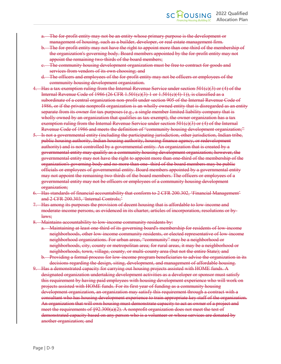- a. The for-profit entity may not be an entity whose primary purpose is the development or management of housing, such as a builder, developer, or real estate management firm.
- The for-profit entity may not have the right to appoint more than one-third of the membership of the organization's governing body. Board members appointed by the for-profit entity may not appoint the remaining two-thirds of the board members;
- c. The community housing development organization must be free to contract for goods and services from vendors of its own choosing; and
- d. The officers and employees of the for-profit entity may not be officers or employees of the community housing development organization.
- 4. Has a tax exemption ruling from the Internal Revenue Service under section 501(c)(3) or (4) of the Internal Revenue Code of 1986 (26 CFR 1.501 $(e)(3)$ ) 1 or 1.501 $(e)(4)$  1)), is classified as a subordinate of a central organization non-profit under section 905 of the Internal Revenue Code of 1986, or if the private nonprofit organization is an wholly owned entity that is disregarded as an entity separate from its owner for tax purposes (e.g., a single member limited liability company that is wholly owned by an organization that qualifies as tax-exempt), the owner organization has a tax exemption ruling from the Internal Revenue Service under section  $501(e)(3)$  or (4) of the Internal Revenue Code of 1986 and meets the definition of "community housing development organization;"
- 5. Is not a governmental entity (including the participating jurisdiction, other jurisdiction, Indian tribe, public housing authority, Indian housing authority, housing finance agency, or redevelopment authority) and is not controlled by a governmental entity. An organization that is created by a governmental entity may qualify as a community housing development organization; however, the governmental entity may not have the right to appoint more than one-third of the membership of the organization's governing body and no more than one- third of the board members may be public officials or employees of governmental entity. Board members appointed by a governmental entity may not appoint the remaining two-thirds of the board members. The officers or employees of a governmental entity may not be officers or employees of a community housing development organization;
- 6. Has standards of financial accountability that conform to 2 CFR 200.302, 'Financial Management' and 2 CFR 200.303, 'Internal Controls;'
- 7. Has among its purposes the provision of decent housing that is affordable to low-income and moderate-income persons, as evidenced in its charter, articles of incorporation, resolutions or bylaws;
- Maintains accountability to low-income community residents by:
	- a. Maintaining at least one-third of its governing board's membership for residents of low-income neighborhoods, other low-income community residents, or elected representative of low-income neighborhood organizations. For urban areas, "community" may be a neighborhood or neighborhoods, city, county or metropolitan area; for rural areas, it may be a neighborhood or neighborhoods, town, village, county, or multi-county area (but not the entire State); and
	- b. Providing a formal process for low-income program beneficiaries to advise the organization in its decisions regarding the design, siting, development, and management of affordable housing.
- 9. Has a demonstrated capacity for carrying out housing projects assisted with HOME funds. A designated organization undertaking development activities as a developer or sponsor must satisfy this requirement by having paid employees with housing development experience who will work on projects assisted with HOME funds. For its first year of funding as a community housing development organization, an organization may satisfy this requirement through a contract with a consultant who has housing development experience to train appropriate key staff of the organization. An organization that will own housing must demonstrate capacity to act as owner of a project and meet the requirements of  $\S 92.300(a)(2)$ . A nonprofit organization does not meet the test of demonstrated capacity based on any person who is a volunteer or whose services are donated by another organization; and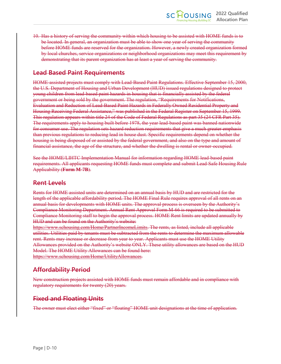10. Has a history of serving the community within which housing to be assisted with HOME funds is to be located. In general, an organization must be able to show one year of serving the community before HOME funds are reserved for the organization. However, a newly created organization formed by local churches, service organizations or neighborhood organizations may meet this requirement by demonstrating that its parent organization has at least a year of serving the community.

### **Lead Based Paint Requirements**

HOME-assisted projects must comply with Lead-Based Paint Regulations. Effective September 15, 2000, the U.S. Department of Housing and Urban Development (HUD) issued regulations designed to protect young children from lead-based paint hazards in housing that is financially assisted by the federal government or being sold by the government. The regulation, "Requirements for Notifications, Evaluation and Reduction of Lead-Based Paint Hazards in Federally Owned Residential Property and Housing Receiving Federal Assistance," was published in the Federal Register on September 15, 1999. This regulation appears within title 24 of the Code of Federal Regulations as part 35 (24 CFR Part 35). The requirements apply to housing built before 1978, the year lead-based paint was banned nationwide for consumer use. The regulation sets hazard reduction requirements that give a much greater emphasis than previous regulations to reducing lead in house dust. Specific requirements depend on whether the housing is being disposed of or assisted by the federal government, and also on the type and amount of financial assistance, the age of the structure, and whether the dwelling is rental or owner-occupied.

See the HOME/LIHTC Implementation Manual for information regarding HOME lead-based paint requirements. All applicants requesting HOME funds must complete and submit Lead-Safe Housing Rule Applicability (**Form M-7B**).

### **Rent Levels**

Rents for HOME assisted units are determined on an annual basis by HUD and are restricted for the length of the applicable affordability period. The HOME Final Rule requires approval of all rents on an annual basis for developments with HOME units. The approval process is overseen by the Authority's Compliance Monitoring Department. Annual Rent Approval Form M-66 is required to be submitted to Compliance Monitoring staff to begin the approval process. HOME Rent limits are updated annually by HUD and can be found on the Authority's website:

https://www.schousing.com/Home/PartnerIncomeLimits. The rents, as listed, include all applicable utilities. Utilities paid by tenants must be subtracted from the rents to determine the maximum allowable rent. Rents may increase or decrease from year to year. Applicants must use the HOME Utility Allowances provided on the Authority's website ONLY. These utility allowances are based on the HUD Model. The HOME Utility Allowances can be found here: https://www.schousing.com/Home/UtilityAllowances.

### **Affordability Period**

New construction projects assisted with HOME funds must remain affordable and in compliance with regulatory requirements for twenty (20) years.

### **Fixed and Floating Units**

The owner must elect either "fixed" or "floating" HOME unit designations at the time of application.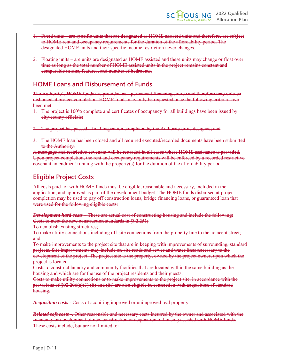- 1. Fixed units are specific units that are designated as HOME assisted units and therefore, are subject to HOME rent and occupancy requirements for the duration of the affordability period. The designated HOME units and their specific income restriction never changes.
- 2. Floating units are units are designated as HOME assisted and these units may change or float over time as long as the total number of HOME assisted units in the project remains constant and comparable in size, features, and number of bedrooms.

### **HOME Loans and Disbursement of Funds**

The Authority's HOME funds are provided as a permanent financing source and therefore may only be disbursed at project completion. HOME funds may only be requested once the following criteria have been met:

- 1. The project is 100% complete and certificates of occupancy for all buildings have been issued by city/county officials;
- 2. The project has passed a final inspection completed by the Authority or its designee; and
- 3. The HOME loan has been closed and all required executed/recorded documents have been submitted to the Authority.

A mortgage and restrictive covenant will be recorded in all cases where HOME assistance is provided. Upon project completion, the rent and occupancy requirements will be enforced by a recorded restrictive covenant amendment running with the property(s) for the duration of the affordability period.

### **Eligible Project Costs**

All costs paid for with HOME funds must be eligible, reasonable and necessary, included in the application, and approved as part of the development budget. The HOME funds disbursed at project completion may be used to pay off construction loans, bridge financing loans, or guaranteed loan that were used for the following eligible costs:

*Development hard costs –* These are actual cost of constructing housing and include the following: Costs to meet the new construction standards in §92.251;

To demolish existing structures;

To make utility connections including off-site connections from the property line to the adjacent street; and

To make improvements to the project site that are in keeping with improvements of surrounding, standard projects. Site improvements may include on-site roads and sewer and water lines necessary to the development of the project. The project site is the property, owned by the project owner, upon which the project is located.

Costs to construct laundry and community facilities that are located within the same building as the housing and which are for the use of the project residents and their guests.

Costs to make utility connections or to make improvements to the project site, in accordance with the provisions of §92.206(a)(3) (ii) and (iii) are also eligible in connection with acquisition of standard housing.

*Acquisition costs -* Costs of acquiring improved or unimproved real property.

*Related soft costs -.* Other reasonable and necessary costs incurred by the owner and associated with the financing, or development of new construction or acquisition of housing assisted with HOME funds. These costs include, but are not limited to: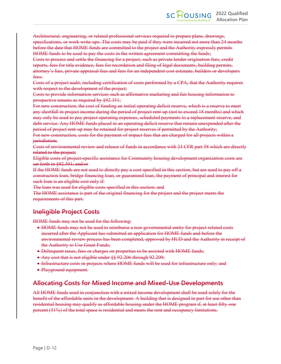Architectural, engineering, or related professional services required to prepare plans, drawings, specifications, or work write-ups. The costs may be paid if they were incurred not more than 24 months before the date that HOME funds are committed to the project and the Authority expressly permits HOME funds to be used to pay the costs in the written agreement committing the funds;

Costs to process and settle the financing for a project, such as private lender origination fees, credit reports, fees for title evidence, fees for recordation and filing of legal documents, building permits, attorney's fees, private appraisal fees and fees for an independent cost estimate, builders or developers fees;

Costs of a project audit, including certification of costs performed by a CPA, that the Authority requires with respect to the development of the project;

Costs to provide information services such as affirmative marketing and fair housing information to prospective tenants as required by §92.351;

For new construction, the cost of funding an initial operating deficit reserve, which is a reserve to meet any shortfall in project income during the period of project rent-up (not to exceed 18 months) and which may only be used to pay project operating expenses, scheduled payments to a replacement reserve, and debt service. Any HOME funds placed in an operating deficit reserve that remain unexpended after the period of project rent-up may be retained for project reserves if permitted by the Authority;

For new construction, costs for the payment of impact fees that are charged for all projects within a jurisdiction;

Costs of environmental review and release of funds in accordance with 24 CFR part 58 which are directly related to the project;

Eligible costs of project-specific assistance for Community housing development organization costs are set forth in §92.301; and/or

If the HOME funds are not used to directly pay a cost specified in this section, but are used to pay off a construction loan, bridge financing loan, or guaranteed loan, the payment of principal and interest for such loan is an eligible cost only if.

The loan was used for eligible costs specified in this section; and

The HOME assistance is part of the original financing for the project and the project meets the requirements of this part.

### **Ineligible Project Costs**

HOME funds may not be used for the following:

- HOME funds may not be used to reimburse a non-governmental entity for project related costs incurred after the Applicant has submitted an application for HOME funds and before the environmental review process has been completed, approved by HUD and the Authority in receipt of the Authority to Use Grant Funds;
- Delinquent taxes, fees or charges on properties to be assisted with HOME funds;
- Any cost that is not eligible under §§ 92.206 through 92.209;
- Infrastructure costs in projects where HOME funds will be used for infrastructure only; and
- Playground equipment.

### **Allocating Costs for Mixed Income and Mixed-Use Developments**

All HOME funds used in conjunction with a mixed income development shall be used solely for the benefit of the affordable units in the development. A building that is designed in part for use other than residential housing may qualify as affordable housing under the HOME program if, at least fifty-one percent (51%) of the total space is residential and meets the rent and occupancy limitations.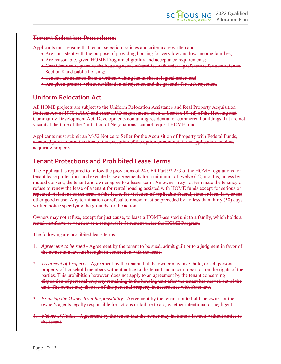### **Tenant Selection Procedures**

Applicants must ensure that tenant selection policies and criteria are written and:

- Are consistent with the purpose of providing housing for very low and low-income families;
- Are reasonable, given HOME Program eligibility and acceptance requirements;
- Consideration is given to the housing needs of families with federal preferences for admission to Section 8 and public housing;
- Tenants are selected from a written waiting list in chronological order; and
- Are given prompt written notification of rejection and the grounds for such rejection.

### **Uniform Relocation Act**

All HOME projects are subject to the Uniform Relocation Assistance and Real Property Acquisition Policies Act of 1970 (URA) and other HUD requirements such as Section 104(d) of the Housing and Community Development Act. Developments containing residential or commercial buildings that are not vacant at the time of the "Initiation of Negotiations" cannot request HOME funds.

Applicants must submit an M-52 Notice to Seller for the Acquisition of Property with Federal Funds, executed prior to or at the time of the execution of the option or contract, if the application involves acquiring property.

### **Tenant Protections and Prohibited Lease Terms**

The Applicant is required to follow the provisions of 24 CFR Part 92.253 of the HOME regulations for tenant lease protections and execute lease agreements for a minimum of twelve (12) months, unless by mutual consent, the tenant and owner agree to a lesser term. An owner may not terminate the tenancy or refuse to renew the lease of a tenant for rental housing assisted with HOME funds except for serious or repeated violations of the terms of the lease, for violation of applicable federal, state or local law, or for other good cause. Any termination or refusal to renew must be preceded by no less than thirty (30) days written notice specifying the grounds for the action.

Owners may not refuse, except for just cause, to lease a HOME-assisted unit to a family, which holds a rental certificate or voucher or a comparable document under the HOME Program.

The following are prohibited lease terms:

- 1. *Agreement to be sued -* Agreement by the tenant to be sued, admit guilt or to a judgment in favor of the owner in a lawsuit brought in connection with the lease.
- 2. *Treatment of Property -* Agreement by the tenant that the owner may take, hold, or sell personal property of household members without notice to the tenant and a court decision on the rights of the parties. This prohibition however, does not apply to an agreement by the tenant concerning disposition of personal property remaining in the housing unit after the tenant has moved out of the unit. The owner may dispose of this personal property in accordance with State law.
- 3. *Excusing the Owner from Responsibility* Agreement by the tenant not to hold the owner or the owner's agents legally responsible for actions or failure to act, whether intentional or negligent.
- 4. *Waiver of Notice* Agreement by the tenant that the owner may institute a lawsuit without notice to the tenant.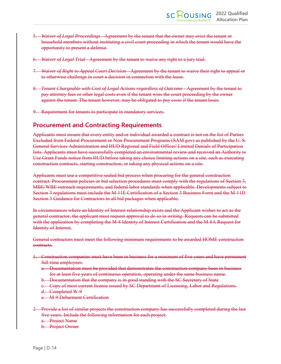- 5. *Waiver of Legal Proceedings* Agreement by the tenant that the owner may evict the tenant or household members without instituting a civil court proceeding in which the tenant would have the opportunity to present a defense.
- 6. *Waiver of Legal Trial* Agreement by the tenant to waive any right to a jury trial.
- 7. *Waiver of Right to Appeal Court Decision* Agreement by the tenant to waive their right to appeal or to otherwise challenge in court a decision in connection with the lease.
- 8. *Tenant Chargeable with Cost of Legal Actions regardless of Outcome* Agreement by the tenant to pay attorney fees or other legal costs even if the tenant wins the court proceeding by the owner against the tenant. The tenant however, may be obligated to pay costs if the tenant loses.
- 9. Requirement for tenants to participate in mandatory services.

### **Procurement and Contracting Requirements**

Applicants must ensure that every entity and/or individual awarded a contract is not on the list of Parties Excluded from Federal Procurement or Non-Procurement Programs (SAM.gov) as published by the U. S. General Services Administration and HUD Regional and Field Offices' Limited Denials of Participation lists. Applicants must have successfully completed an environmental review and received an Authority to Use Grant Funds notice from HUD before taking any choice limiting actions on a site, such as executing construction contracts, starting construction, or taking any physical actions on a site.

Applicants must use a competitive sealed bid process when procuring for the general construction contract. Procurement policies or bid selection procedures must comply with the regulations of Section 3, MBE/WBE outreach requirements, and federal labor standards when applicable. Developments subject to Section 3 regulations must include the M-11E Certification of a Section 3 Business Form and the M-11D Section 3 Guidance for Contractors in all bid packages when applicable.

In circumstances where an Identity of Interest relationship exists and the Applicant wishes to act as the general contractor, the applicant must request approval to do so in writing. Requests can be submitted with the application by completing the M-8 Identity of Interest Certification and the M-8A Request for Identity of Interest.

General contractors must meet the following minimum requirements to be awarded HOME construction contracts.

- 1. Construction companies must have been in business for a minimum of five years and have permanent full-time employees.
	- a. Documentation must be provided that demonstrates the construction company been in business for at least five years of continuous operation, operating under the same business name.
	- b. Documentation that the company is in good standing with the SC Secretary of State
	- c. Copy of most current license issued by SC Department of Licensing, Labor and Regulations.
	- d. Completed W-9
	- e. M-9 Debarment Certification
- 2. Provide a list of similar projects the construction company has successfully completed during the last five years. Include the following information for each project:
	- a. Project Name
	- b. Project Owner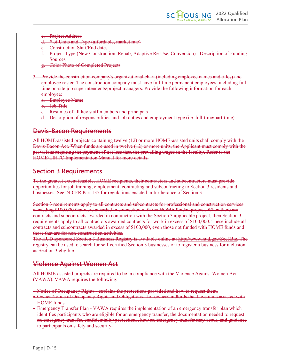- c. Project Address
- d. # of Units and Type (affordable, market rate)
- **Construction Start/End dates**
- f. Project Type (New Construction, Rehab, Adaptive Re-Use, Conversion) Description of Funding **Sources**
- g. Color Photo of Completed Projects
- 3. Provide the construction company's organizational chart (including employee names and titles) and employee roster. The construction company must have full-time permanent employees, including fulltime on-site job superintendents/project managers. Provide the following information for each employee:
	- a. Employee Name
	- b. Job Title
	- c. Resumes of all key staff members and principals
	- d. Description of responsibilities and job duties and employment type (i.e. full-time/part-time)

### **Davis-Bacon Requirements**

All HOME-assisted projects containing twelve (12) or more HOME-assisted units shall comply with the Davis-Bacon Act. When funds are used in twelve (12) or more units, the Applicant must comply with the provisions requiring the payment of not less than the prevailing wages in the locality. Refer to the HOME/LIHTC Implementation Manual for more details.

### **Section 3 Requirements**

To the greatest extent feasible, HOME recipients, their contractors and subcontractors must provide opportunities for job training, employment, contracting and subcontracting to Section 3 residents and businesses. See 24 CFR Part 135 for regulations enacted in furtherance of Section 3.

Section 3 requirements apply to all contracts and subcontracts for professional and construction services exceeding \$100,000 that were awarded in connection with the HOME funded project. When there are contracts and subcontracts awarded in conjunction with the Section 3 applicable project, then Section 3 requirements apply to all contractors awarded contracts for work in excess of \$100,000. These include all contracts and subcontracts awarded in excess of \$100,000, even those not funded with HOME funds and those that are for non-construction activities.

The HUD sponsored Section 3 Business Registry is available online at: http://www.hud.gov/Sec3Biz. The registry can be used to search for self-certified Section 3 businesses or to register a business for inclusion as Section 3 eligible.

### **Violence Against Women Act**

All HOME-assisted projects are required to be in compliance with the Violence Against Women Act (VAWA). VAWA requires the following:

- Notice of Occupancy Rights explains the protections provided and how to request them.
- Owner Notice of Occupancy Rights and Obligations for owner/landlords that have units assisted with HOME funds.
- Emergency Transfer Plan VAWA requires the implementation of an emergency transfer plan which identifies participants who are eligible for an emergency transfer, the documentation needed to request an emergency transfer, confidentiality protections, how an emergency transfer may occur, and guidance to participants on safety and security.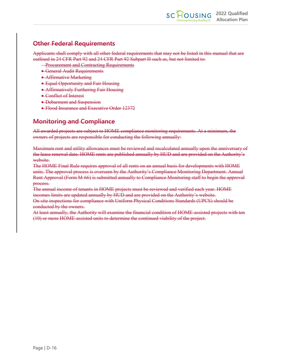### **Other Federal Requirements**

Applicants shall comply with all other federal requirements that may not be listed in this manual that are outlined in 24 CFR Part 92 and 24 CFR Part 92 Subpart H such as, but not limited to:

- **Procurement and Contracting Requirements**
- General Audit Requirements
- Affirmative Marketing
- Equal Opportunity and Fair Housing
- Affirmatively Furthering Fair Housing
- Conflict of Interest
- Debarment and Suspension
- Flood Insurance and Executive Order 12372

### **Monitoring and Compliance**

All awarded projects are subject to HOME compliance monitoring requirements. At a minimum, the owners of projects are responsible for conducting the following annually:

Maximum rent and utility allowances must be reviewed and recalculated annually upon the anniversary of the lease renewal date. HOME rents are published annually by HUD and are provided on the Authority's website.

The HOME Final Rule requires approval of all rents on an annual basis for developments with HOME units. The approval process is overseen by the Authority's Compliance Monitoring Department. Annual Rent Approval (Form M-66) is submitted annually to Compliance Monitoring staff to begin the approval process.

The annual income of tenants in HOME projects must be reviewed and verified each year. HOME incomes limits are updated annually by HUD and are provided on the Authority's website. On-site inspections for compliance with Uniform Physical Conditions Standards (UPCS) should be conducted by the owners.

At least annually, the Authority will examine the financial condition of HOME-assisted projects with ten (10) or more HOME-assisted units to determine the continued viability of the project.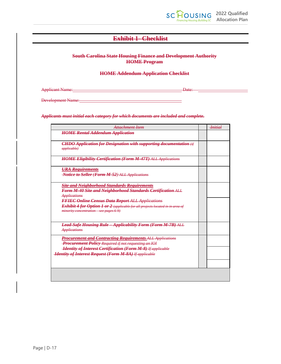

### **Exhibit 1- Checklist**

#### **South Carolina State Housing Finance and Development Authority HOME Program**

#### **HOME Addendum Application Checklist**

Applicant Name: Date: Date: Date: Date: Date: Date: Date: Date: Date: Date: Date:

Development Name:<br>
<u>Development Name</u>:

#### *Applicants must initial each category for which documents are included and complete.*

| Attachment Item                                                                                                                                                                       | <b>Initial</b> |
|---------------------------------------------------------------------------------------------------------------------------------------------------------------------------------------|----------------|
| <b>HOME Rental Addendum Application</b>                                                                                                                                               |                |
| <b>CHDO Application for Designation with supporting documentation</b> (if<br><i>applicable</i> )                                                                                      |                |
| <b>HOME Eligibility Certification (Form M-47T) ALL Applications</b>                                                                                                                   |                |
| <b>URA</b> Requirements<br><b>Notice to Seller (Form M-52) ALL Applications</b>                                                                                                       |                |
| <b>Site and Neighborhood Standards Requirements</b><br>Form M-40 Site and Neighborhood Standards Certification ALL<br><b>Applications</b>                                             |                |
| <b>FFIEC Online Census Data Report ALL Applications</b><br>Exhibit 4 for Option 1 or 2 (applicable for all projects located in in area of<br>$minority concentration - see pages 6-9$ |                |
| <b>Lead Safe Housing Rule Applicability Form (Form M-7B) ALL</b><br><b>Applications</b>                                                                                               |                |
| <b>Procurement and Contracting Requirements ALL Applications</b><br>Procurement Policy Required if not requesting an IOI                                                              |                |
| <b>Hantity of Interest Certification (Form M-8) If applicable</b><br><b>Haentity of Interest Request (Form M-8A) If applicable</b>                                                    |                |
|                                                                                                                                                                                       |                |
|                                                                                                                                                                                       |                |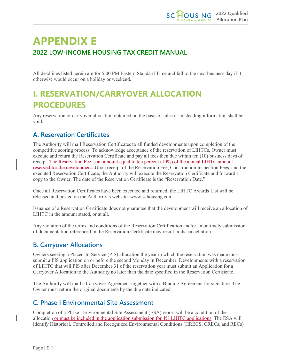# **APPENDIX E 2022 LOW-INCOME HOUSING TAX CREDIT MANUAL**

All deadlines listed herein are for 5:00 PM Eastern Standard Time and fall to the next business day if it otherwise would occur on a holiday or weekend.

# <span id="page-56-0"></span>**I. RESERVATION/CARRYOVER ALLOCATION PROCEDURES**

Any reservation or carryover allocation obtained on the basis of false or misleading information shall be void.

### <span id="page-56-1"></span>**A. Reservation Certificates**

The Authority will mail Reservation Certificates to all funded developments upon completion of the competitive scoring process. To acknowledge acceptance of the reservation of LIHTCs, Owner must execute and return the Reservation Certificate and pay all fees then due within ten (10) business days of receipt. The Reservation Fee is an amount equal to ten percent (10%) of the annual LIHTC amount reserved for the development. Upon receipt of the Reservation Fee, Construction Inspection Fees, and the executed Reservation Certificate, the Authority will execute the Reservation Certificate and forward a copy to the Owner. The date of the Reservation Certificate is the "Reservation Date."

Once all Reservation Certificates have been executed and returned, the LIHTC Awards List will be released and posted on the Authority's website: [www.schousing.com.](http://www.schousing.com/)

Issuance of a Reservation Certificate does not guarantee that the development will receive an allocation of LIHTC in the amount stated, or at all.

Any violation of the terms and conditions of the Reservation Certification and/or an untimely submission of documentation referenced in the Reservation Certificate may result in its cancellation.

### <span id="page-56-2"></span>**B. Carryover Allocations**

Owners seeking a Placed-In-Service (PIS) allocation the year in which the reservation was made must submit a PIS application on or before the second Monday in December. Developments with a reservation of LIHTC that will PIS after December 31 of the reservation year must submit an Application for a Carryover Allocation to the Authority no later than the date specified in the Reservation Certificate.

The Authority will mail a Carryover Agreement together with a Binding Agreement for signature. The Owner must return the original documents by the due date indicated.

### <span id="page-56-3"></span>**C. Phase I Environmental Site Assessment**

Completion of a Phase I Environmental Site Assessment (ESA) report will be a condition of the allocation or must be included in the application submission for 4% LIHTC applications. The ESA will identify Historical, Controlled and Recognized Environmental Conditions (HRECS, CRECs, and RECs)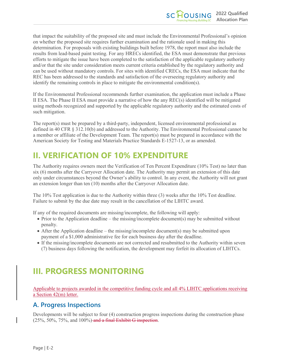that impact the suitability of the proposed site and must include the Environmental Professional's opinion on whether the proposed site requires further examination and the rationale used in making this determination. For proposals with existing buildings built before 1978, the report must also include the results from lead-based paint testing. For any HRECs identified, the ESA must demonstrate that previous efforts to mitigate the issue have been completed to the satisfaction of the applicable regulatory authority and/or that the site under consideration meets current criteria established by the regulatory authority and can be used without mandatory controls. For sites with identified CRECs, the ESA must indicate that the REC has been addressed to the standards and satisfaction of the overseeing regulatory authority and identify the remaining controls in place to mitigate the environmental condition(s).

If the Environmental Professional recommends further examination, the application must include a Phase II ESA. The Phase II ESA must provide a narrative of how the any REC(s) identified will be mitigated using methods recognized and supported by the applicable regulatory authority and the estimated costs of such mitigation.

The report(s) must be prepared by a third-party, independent, licensed environmental professional as defined in 40 CFR § 312.10(b) and addressed to the Authority. The Environmental Professional cannot be a member or affiliate of the Development Team. The report(s) must be prepared in accordance with the American Society for Testing and Materials Practice Standards E-1527-13, or as amended.

# <span id="page-57-0"></span>**II. VERIFICATION OF 10% EXPENDITURE**

The Authority requires owners meet the Verification of Ten Percent Expenditure (10% Test) no later than six (6) months after the Carryover Allocation date. The Authority may permit an extension of this date only under circumstances beyond the Owner's ability to control. In any event, the Authority will not grant an extension longer than ten (10) months after the Carryover Allocation date.

The 10% Test application is due to the Authority within three (3) weeks after the 10% Test deadline. Failure to submit by the due date may result in the cancellation of the LIHTC award.

If any of the required documents are missing/incomplete, the following will apply:

- Prior to the Application deadline the missing/incomplete document(s) may be submitted without penalty.
- After the Application deadline the missing/incomplete document(s) may be submitted upon payment of a \$1,000 administrative fee for each business day after the deadline.
- If the missing/incomplete documents are not corrected and resubmitted to the Authority within seven (7) business days following the notification, the development may forfeit its allocation of LIHTCs.

# <span id="page-57-1"></span>**III. PROGRESS MONITORING**

Applicable to projects awarded in the competitive funding cycle and all 4% LIHTC applications receiving a Section 42(m) letter.

### <span id="page-57-2"></span>**A. Progress Inspections**

Developments will be subject to four (4) construction progress inspections during the construction phase  $(25\%, 50\%, 75\%, \text{ and } 100\%)$  and a final Exhibit G inspection.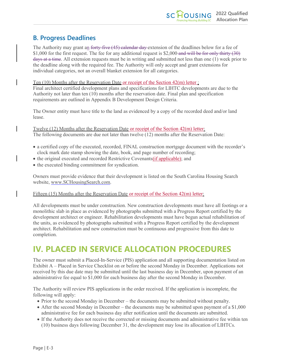### <span id="page-58-0"></span>**B. Progress Deadlines**

The Authority may grant an forty-five (45) calendar day extension of the deadlines below for a fee of \$1,000 for the first request. The fee for any additional request is \$2,000 and will be for only thirty (30) days at a time. All extension requests must be in writing and submitted not less than one (1) week prior to the deadline along with the required fee. The Authority will only accept and grant extensions for individual categories, not an overall blanket extension for all categories.

#### Ten  $(10)$  Months after the Reservation Date or receipt of the Section  $42(m)$  letter :

Final architect certified development plans and specifications for LIHTC developments are due to the Authority not later than ten (10) months after the reservation date. Final plan and specification requirements are outlined in Appendix B Development Design Criteria.

The Owner entity must have title to the land as evidenced by a copy of the recorded deed and/or land lease.

Twelve (12) Months after the Reservation Date or receipt of the Section 42(m) letter: The following documents are due not later than twelve (12) months after the Reservation Date:

- a certified copy of the executed, recorded, FINAL construction mortgage document with the recorder's clock mark date stamp showing the date, book, and page number of recording;
- the original executed and recorded Restrictive Covenants(if applicable); and
- the executed binding commitment for syndication.

Owners must provide evidence that their development is listed on the South Carolina Housing Search website, [www.SCHousingSearch.com.](http://www.schousingsearch.com/)

#### Fifteen (15) Months after the Reservation Date or receipt of the Section 42(m) letter:

All developments must be under construction. New construction developments must have all footings or a monolithic slab in place as evidenced by photographs submitted with a Progress Report certified by the development architect or engineer. Rehabilitation developments must have begun actual rehabilitation of the units, as evidenced by photographs submitted with a Progress Report certified by the development architect. Rehabilitation and new construction must be continuous and progressive from this date to completion.

# <span id="page-58-1"></span>**IV. PLACED IN SERVICE ALLOCATION PROCEDURES**

The owner must submit a Placed-In-Service (PIS) application and all supporting documentation listed on Exhibit A – Placed in Service Checklist on or before the second Monday in December. Applications not received by this due date may be submitted until the last business day in December, upon payment of an administrative fee equal to \$1,000 for each business day after the second Monday in December.

The Authority will review PIS applications in the order received. If the application is incomplete, the following will apply:

- Prior to the second Monday in December the documents may be submitted without penalty.
- After the second Monday in December the documents may be submitted upon payment of a \$1,000 administrative fee for each business day after notification until the documents are submitted.
- If the Authority does not receive the corrected or missing documents and administrative fee within ten (10) business days following December 31, the development may lose its allocation of LIHTCs.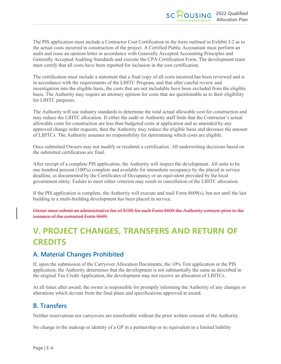The PIS application must include a Contractor Cost Certification in the form outlined in Exhibit J-2 as to the actual costs incurred in construction of the project. A Certified Public Accountant must perform an audit and issue an opinion letter in accordance with Generally Accepted Accounting Principles and Generally Accepted Auditing Standards and execute the CPA Certification Form. The development team must certify that all costs have been reported for inclusion in the cost certification.

The certification must include a statement that a final copy of all costs incurred has been reviewed and is in accordance with the requirements of the LIHTC Program, and that after careful review and investigation into the eligible basis, the costs that are not includable have been excluded from the eligible basis. The Authority may require an attorney opinion for costs that are questionable as to their eligibility for LIHTC purposes.

The Authority will use industry standards to determine the total actual allowable cost for construction and may reduce the LIHTC allocation. If either the audit or Authority staff finds that the Contractor's actual allowable costs for construction are less than budgeted costs at application and as amended by any approved change order requests, then the Authority may reduce the eligible basis and decrease the amount of LIHTCs. The Authority assumes no responsibility for determining which costs are eligible.

Once submitted Owners may not modify or resubmit a certification. All underwriting decisions based on the submitted certification are final.

After receipt of a complete PIS application, the Authority will inspect the development. All units to be one hundred percent (100%) complete and available for immediate occupancy by the placed in service deadline, as documented by the Certificates of Occupancy or an equivalent provided by the local government entity. Failure to meet either criterion may result in cancellation of the LIHTC allocation.

If the PIS application is complete, the Authority will execute and mail Form 8609(s), but not until the last building in a multi-building development has been placed in service*.*

Owner must submit an administrative fee of \$100 for each Form 8609 the Authority corrects prior to the issuance of the corrected Form 8609.

# <span id="page-59-0"></span>**V. PROJECT CHANGES, TRANSFERS AND RETURN OF CREDITS**

### <span id="page-59-1"></span>**A. Material Changes Prohibited**

If, upon the submission of the Carryover Allocation Documents, the 10% Test application or the PIS application, the Authority determines that the development is not substantially the same as described in the original Tax Credit Application, the development may not receive an allocation of LIHTCs.

At all times after award, the owner is responsible for promptly informing the Authority of any changes or alterations which deviate from the final plans and specifications approved at award.

### <span id="page-59-2"></span>**B. Transfers**

Neither reservations nor carryovers are transferable without the prior written consent of the Authority.

No change in the makeup or identity of a GP in a partnership or its equivalent in a limited liability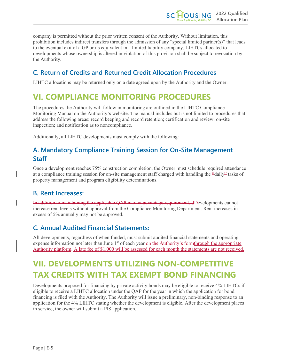company is permitted without the prior written consent of the Authority. Without limitation, this prohibition includes indirect transfers through the admission of any "special limited partner(s)" that leads to the eventual exit of a GP or its equivalent in a limited liability company. LIHTCs allocated to developments whose ownership is altered in violation of this provision shall be subject to revocation by the Authority.

### <span id="page-60-0"></span>**C. Return of Credits and Returned Credit Allocation Procedures**

LIHTC allocations may be returned only on a date agreed upon by the Authority and the Owner.

# <span id="page-60-1"></span>**VI. COMPLIANCE MONITORING PROCEDURES**

The procedures the Authority will follow in monitoring are outlined in the LIHTC Compliance Monitoring Manual on the Authority's website. The manual includes but is not limited to procedures that address the following areas: record keeping and record retention; certification and review; on-site inspection; and notification as to noncompliance.

Additionally, all LIHTC developments must comply with the following:

### <span id="page-60-2"></span>**A. Mandatory Compliance Training Session for On-Site Management Staff**

Once a development reaches 75% construction completion, the Owner must schedule required attendance at a compliance training session for on-site management staff charged with handling the "daily" tasks of property management and program eligibility determinations.

### <span id="page-60-3"></span>**B. Rent Increases:**

In addition to maintaining the applicable QAP market advantage requirement, dDevelopments cannot increase rent levels without approval from the Compliance Monitoring Department. Rent increases in excess of 5% annually may not be approved.

### <span id="page-60-4"></span>**C. Annual Audited Financial Statements:**

All developments, regardless of when funded, must submit audited financial statements and operating expense information not later than June  $1<sup>st</sup>$  of each year on the Authority's formthrough the appropriate Authority platform. A late fee of \$1,000 will be assessed for each month the statements are not received.

# <span id="page-60-5"></span>**VII. DEVELOPMENTS UTILIZING NON-COMPETITIVE TAX CREDITS WITH TAX EXEMPT BOND FINANCING**

Developments proposed for financing by private activity bonds may be eligible to receive 4% LIHTCs if eligible to receive a LIHTC allocation under the QAP for the year in which the application for bond financing is filed with the Authority. The Authority will issue a preliminary, non-binding response to an application for the 4% LIHTC stating whether the development is eligible. After the development places in service, the owner will submit a PIS application.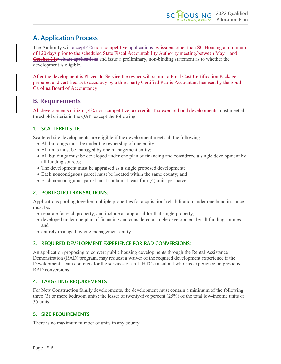### <span id="page-61-0"></span>**A. Application Process**

The Authority will accept 4% non-competitive applications by issuers other than SC Housing a minimum of 120 days prior to the scheduled State Fiscal Accountability Authority meeting. between May 1 and October 31evaluate applications and issue a preliminary, non-binding statement as to whether the development is eligible.

After the development is Placed-In-Service the owner will submit a Final Cost Certification Package, prepared and certified as to accuracy by a third-party Certified Public Accountant licensed by the South Carolina Board of Accountancy.

### <span id="page-61-1"></span>**B. Requirements**

All developments utilizing 4% non-competitive tax credits Tax exempt bond developments must meet all threshold criteria in the QAP, except the following:

#### <span id="page-61-2"></span>**1. SCATTERED SITE:**

Scattered site developments are eligible if the development meets all the following:

- All buildings must be under the ownership of one entity;
- All units must be managed by one management entity;
- All buildings must be developed under one plan of financing and considered a single development by all funding sources;
- The development must be appraised as a single proposed development;
- Each noncontiguous parcel must be located within the same county; and
- Each noncontiguous parcel must contain at least four (4) units per parcel.

#### <span id="page-61-3"></span>**2. PORTFOLIO TRANSACTIONS:**

Applications pooling together multiple properties for acquisition/ rehabilitation under one bond issuance must be:

- separate for each property, and include an appraisal for that single property;
- developed under one plan of financing and considered a single development by all funding sources; and
- entirely managed by one management entity.

#### <span id="page-61-4"></span>**3. REQUIRED DEVELOPMENT EXPERIENCE FOR RAD CONVERSIONS:**

An application proposing to convert public housing developments through the Rental Assistance Demonstration (RAD) program, may request a waiver of the required development experience if the Development Team contracts for the services of an LIHTC consultant who has experience on previous RAD conversions.

#### <span id="page-61-5"></span>**4. TARGETING REQUIREMENTS**

For New Construction family developments, the development must contain a minimum of the following three (3) or more bedroom units: the lesser of twenty-five percent (25%) of the total low-income units or 35 units.

#### <span id="page-61-6"></span>**5. SIZE REQUIREMENTS**

There is no maximum number of units in any county.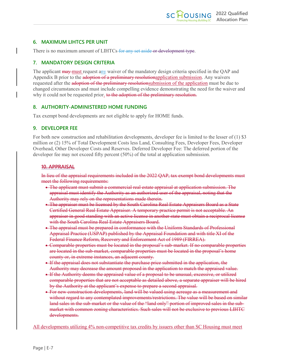#### <span id="page-62-0"></span>**6. MAXIMUM LIHTCS PER UNIT**

There is no maximum amount of LIHTCs-for any set aside or development type.

#### <span id="page-62-1"></span>**7. MANDATORY DESIGN CRITERIA**

The applicant may must request any waiver of the mandatory design criteria specified in the QAP and Appendix B prior to the **adoption of a preliminary resolutionapplication submission**. Any waivers requested after the adoption of the preliminary resolutionsubmission of the application must be due to changed circumstances and must include compelling evidence demonstrating the need for the waiver and why it could not be requested prior, to the adoption of the preliminary resolution.

#### <span id="page-62-2"></span>**8. AUTHORITY-ADMINISTERED HOME FUNDING**

Tax exempt bond developments are not eligible to apply for HOME funds.

#### <span id="page-62-3"></span>**9. DEVELOPER FEE**

For both new construction and rehabilitation developments, developer fee is limited to the lesser of (1) \$3 million or (2) 15% of Total Development Costs less Land, Consulting Fees, Developer Fees, Developer Overhead, Other Developer Costs and Reserves. Deferred Developer Fee: The deferred portion of the developer fee may not exceed fifty percent (50%) of the total at application submission.

#### **10. APPRAISAL**

In lieu of the appraisal requirements included in the 2022 QAP, tax exempt bond developments must meet the following requirements:

- The applicant must submit a commercial real estate appraisal at application submission. The appraisal must identify the Authority as an authorized user of the appraisal, noting that the Authority may rely on the representations made therein.
- The appraiser must be licensed by the South Carolina Real Estate Appraisers Board as a State Certified General Real Estate Appraiser. A temporary practice permit is not acceptable. An appraiser in good standing with an active license in another state must obtain a reciprocal license with the South Carolina Real Estate Appraisers Board.
- The appraisal must be prepared in conformance with the Uniform Standards of Professional Appraisal Practice (USPAP) published by the Appraisal Foundation and with title XI of the Federal Finance Reform, Recovery and Enforcement Act of 1989 (FIRREA).
- Comparable properties must be located in the proposal's sub-market. If no comparable properties are located in the sub-market, comparable properties must be located in the proposal's home county or, in extreme instances, an adjacent county.
- If the appraisal does not substantiate the purchase price submitted in the application, the Authority may decrease the amount proposed in the application to match the appraised value.
- If the Authority deems the appraised value of a proposal to be unusual, excessive, or utilized comparable properties that are not acceptable as detailed above, a separate appraiser will be hired by the Authority at the applicant's expense to prepare a second appraisal.
- For new construction developments, land will be valued using acreage as a measurement and without regard to any contemplated improvements/restrictions. The value will be based on similar land sales in the sub-market or the value of the "land only" portion of improved sales in the submarket with common zoning characteristics. Such sales will not be exclusive to previous LIHTC developments.

All developments utilizing 4% non-competitive tax credits by issuers other than SC Housing must meet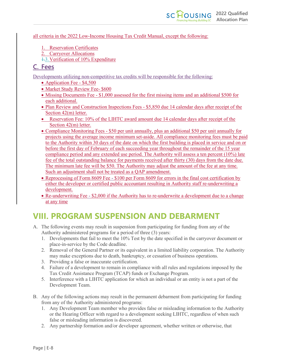#### all criteria in the 2022 Low-Income Housing Tax Credit Manual, except the following:

- 1. Reservation Certificates
- 2. Carryover Allocations
- 1.3.Verification of 10% Expenditure

### <span id="page-63-0"></span>**C. Fees**

Developments utilizing non-competitive tax credits will be responsible for the following:

- Application Fee \$4,500
- Market Study Review Fee- \$600
- Missing Documents Fee \$1,000 assessed for the first missing items and an additional \$500 for each additional.
- Plan Review and Construction Inspections Fees \$5,850 due 14 calendar days after receipt of the Section 42(m) letter.
- Reservation Fee: 10% of the LIHTC award amount due 14 calendar days after receipt of the Section 42(m) letter.
- Compliance Monitoring Fees \$50 per unit annually, plus an additional \$50 per unit annually for projects using the average income minimum set-aside. All compliance monitoring fees must be paid to the Authority within 30 days of the date on which the first building is placed in service and on or before the first day of February of each succeeding year throughout the remainder of the 15 year compliance period and any extended use period. The Authority will assess a ten percent (10%) late fee of the total outstanding balance for payments received after thirty (30) days from the date due. The minimum late fee will be \$50. The Authority may adjust the amount of the fee at any time. Such an adjustment shall not be treated as a QAP amendment.
- Reprocessing of Form 8609 Fee \$100 per Form 8609 for errors in the final cost certification by either the developer or certified public accountant resulting in Authority staff re-underwriting a development.
- Re-underwriting Fee \$2,000 if the Authority has to re-underwrite a development due to a change at any time

# <span id="page-63-1"></span>**VIII. PROGRAM SUSPENSION AND DEBARMENT**

- A. The following events may result in suspension from participating for funding from any of the Authority administered programs for a period of three (3) years:
	- 1. Developments that fail to meet the 10% Test by the date specified in the carryover document or place-in-service by the Code deadline.
	- 2. Removal of the General Partner or its equivalent in a limited liability corporation. The Authority may make exceptions due to death, bankruptcy, or cessation of business operations.
	- 3. Providing a false or inaccurate certification.
	- 4. Failure of a development to remain in compliance with all rules and regulations imposed by the Tax Credit Assistance Program (TCAP) funds or Exchange Program.
	- 5. Interference with a LIHTC application for which an individual or an entity is not a part of the Development Team.
- B. Any of the following actions may result in the permanent debarment from participating for funding from any of the Authority administered programs:
	- 1. Any Development Team member who provides false or misleading information to the Authority or the Hearing Officer with regard to a development seeking LIHTC, regardless of when such false or misleading information is discovered.
	- 2. Any partnership formation and/or developer agreement, whether written or otherwise, that